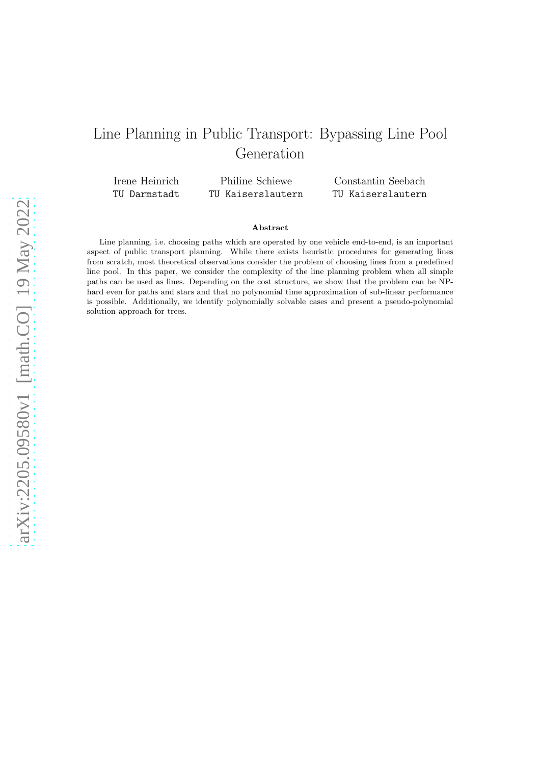# Line Planning in Public Transport: Bypassing Line Pool Generation

Irene Heinrich TU Darmstadt

Philine Schiewe TU Kaiserslautern

Constantin Seebach TU Kaiserslautern

#### Abstract

Line planning, i.e. choosing paths which are operated by one vehicle end-to-end, is an important aspect of public transport planning. While there exists heuristic procedures for generating lines from scratch, most theoretical observations consider the problem of choosing lines from a predefined line pool. In this paper, we consider the complexity of the line planning problem when all simple paths can be used as lines. Depending on the cost structure, we show that the problem can be NPhard even for paths and stars and that no polynomial time approximation of sub-linear performance is possible. Additionally, we identify polynomially solvable cases and present a pseudo-polynomial solution approach for trees.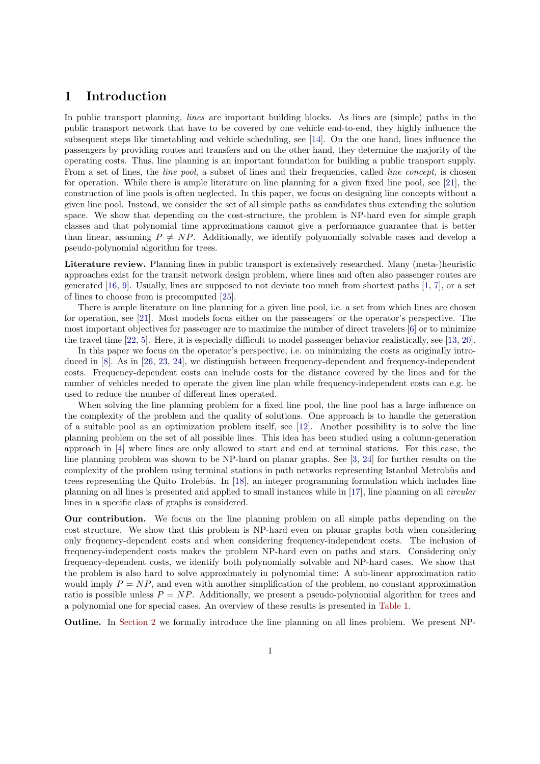#### 1 Introduction

In public transport planning, *lines* are important building blocks. As lines are (simple) paths in the public transport network that have to be covered by one vehicle end-to-end, they highly influence the subsequent steps like timetabling and vehicle scheduling, see [\[14\]](#page-19-0). On the one hand, lines influence the passengers by providing routes and transfers and on the other hand, they determine the majority of the operating costs. Thus, line planning is an important foundation for building a public transport supply. From a set of lines, the *line pool*, a subset of lines and their frequencies, called *line concept*, is chosen for operation. While there is ample literature on line planning for a given fixed line pool, see [\[21\]](#page-20-0), the construction of line pools is often neglected. In this paper, we focus on designing line concepts without a given line pool. Instead, we consider the set of all simple paths as candidates thus extending the solution space. We show that depending on the cost-structure, the problem is NP-hard even for simple graph classes and that polynomial time approximations cannot give a performance guarantee that is better than linear, assuming  $P \neq NP$ . Additionally, we identify polynomially solvable cases and develop a pseudo-polynomial algorithm for trees.

Literature review. Planning lines in public transport is extensively researched. Many (meta-)heuristic approaches exist for the transit network design problem, where lines and often also passenger routes are generated [\[16,](#page-19-1) [9\]](#page-19-2). Usually, lines are supposed to not deviate too much from shortest paths [\[1,](#page-19-3) [7\]](#page-19-4), or a set of lines to choose from is precomputed [\[25\]](#page-20-1).

There is ample literature on line planning for a given line pool, i.e. a set from which lines are chosen for operation, see [\[21\]](#page-20-0). Most models focus either on the passengers' or the operator's perspective. The most important objectives for passenger are to maximize the number of direct travelers [\[6\]](#page-19-5) or to minimize the travel time [\[22,](#page-20-2) [5\]](#page-19-6). Here, it is especially difficult to model passenger behavior realistically, see [\[13,](#page-19-7) [20\]](#page-20-3).

In this paper we focus on the operator's perspective, i.e. on minimizing the costs as originally introduced in [\[8\]](#page-19-8). As in [\[26,](#page-20-4) [23,](#page-20-5) [24\]](#page-20-6), we distinguish between frequency-dependent and frequency-independent costs. Frequency-dependent costs can include costs for the distance covered by the lines and for the number of vehicles needed to operate the given line plan while frequency-independent costs can e.g. be used to reduce the number of different lines operated.

When solving the line planning problem for a fixed line pool, the line pool has a large influence on the complexity of the problem and the quality of solutions. One approach is to handle the generation of a suitable pool as an optimization problem itself, see [\[12\]](#page-19-9). Another possibility is to solve the line planning problem on the set of all possible lines. This idea has been studied using a column-generation approach in [\[4\]](#page-19-10) where lines are only allowed to start and end at terminal stations. For this case, the line planning problem was shown to be NP-hard on planar graphs. See [\[3,](#page-19-11) [24\]](#page-20-6) for further results on the complexity of the problem using terminal stations in path networks representing Istanbul Metrobüs and trees representing the Quito Trolebús. In [\[18\]](#page-20-7), an integer programming formulation which includes line planning on all lines is presented and applied to small instances while in [\[17\]](#page-20-8), line planning on all *circular* lines in a specific class of graphs is considered.

Our contribution. We focus on the line planning problem on all simple paths depending on the cost structure. We show that this problem is NP-hard even on planar graphs both when considering only frequency-dependent costs and when considering frequency-independent costs. The inclusion of frequency-independent costs makes the problem NP-hard even on paths and stars. Considering only frequency-dependent costs, we identify both polynomially solvable and NP-hard cases. We show that the problem is also hard to solve approximately in polynomial time: A sub-linear approximation ratio would imply  $P = NP$ , and even with another simplification of the problem, no constant approximation ratio is possible unless  $P = NP$ . Additionally, we present a pseudo-polynomial algorithm for trees and a polynomial one for special cases. An overview of these results is presented in [Table 1.](#page-2-0)

Outline. In [Section 2](#page-2-1) we formally introduce the line planning on all lines problem. We present NP-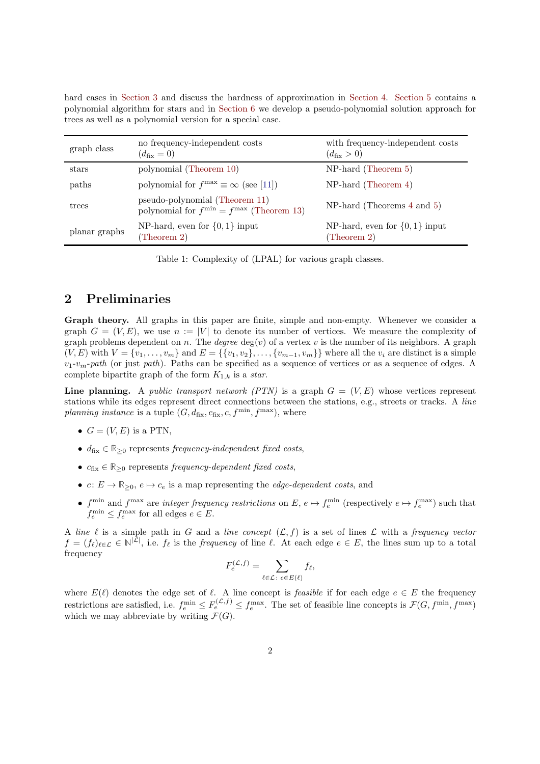| trees as well as a polynomial version for a special case. |                                                                                     |                                                            |
|-----------------------------------------------------------|-------------------------------------------------------------------------------------|------------------------------------------------------------|
| graph class                                               | no frequency-independent costs<br>$(d_{\text{fix}}=0)$                              | with frequency-independent costs<br>$(d_{\text{fix}} > 0)$ |
| stars                                                     | polynomial (Theorem 10)                                                             | $NP$ -hard (Theorem 5)                                     |
| paths                                                     | polynomial for $f^{\text{max}} \equiv \infty$ (see [11])                            | $NP$ -hard (Theorem 4)                                     |
| trees                                                     | pseudo-polynomial (Theorem 11)<br>polynomial for $f^{\min} = f^{\max}$ (Theorem 13) | $NP$ -hard (Theorems 4 and 5)                              |

hard cases in [Section 3](#page-3-0) and discuss the hardness of approximation in [Section 4.](#page-9-0) [Section 5](#page-12-0) contains a polynomial algorithm for stars and in [Section 6](#page-14-0) we develop a pseudo-polynomial solution approach for

<span id="page-2-0"></span>Table 1: Complexity of (LPAL) for various graph classes.

NP-hard, even for {0, 1} input

[\(Theorem 2\)](#page-3-1)

#### <span id="page-2-1"></span>2 Preliminaries

planar graphs NP-hard, even for  $\{0, 1\}$  input [\(Theorem 2\)](#page-3-1)

Graph theory. All graphs in this paper are finite, simple and non-empty. Whenever we consider a graph  $G = (V, E)$ , we use  $n := |V|$  to denote its number of vertices. We measure the complexity of graph problems dependent on n. The *degree*  $deg(v)$  of a vertex v is the number of its neighbors. A graph  $(V, E)$  with  $V = \{v_1, \ldots, v_m\}$  and  $E = \{\{v_1, v_2\}, \ldots, \{v_{m-1}, v_m\}\}\$  where all the  $v_i$  are distinct is a simple v1-vm-*path* (or just *path*). Paths can be specified as a sequence of vertices or as a sequence of edges. A complete bipartite graph of the form  $K_{1,k}$  is a *star*.

Line planning. A *public transport network (PTN)* is a graph  $G = (V, E)$  whose vertices represent stations while its edges represent direct connections between the stations, e.g., streets or tracks. A *line planning instance* is a tuple  $(G, d_{fix}, c_{fix}, c, f^{min}, f^{max})$ , where

- $G = (V, E)$  is a PTN.
- $d_{fix} \in \mathbb{R}_{\geq 0}$  represents *frequency-independent fixed costs*,
- $c_{fix} \in \mathbb{R}_{\geq 0}$  represents *frequency-dependent fixed costs*,
- $c: E \to \mathbb{R}_{\geq 0}, e \mapsto c_e$  is a map representing the *edge-dependent costs*, and
- $f<sup>min</sup>$  and  $f<sup>max</sup>$  are *integer frequency restrictions* on  $E, e \mapsto f<sup>min</sup><sub>e</sub>$  (respectively  $e \mapsto f<sup>max</sup><sub>e</sub>$ ) such that  $f_e^{\min} \leq f_e^{\max}$  for all edges  $e \in E$ .

A *line*  $\ell$  is a simple path in G and a *line concept*  $(\mathcal{L}, f)$  is a set of lines  $\mathcal L$  with a *frequency vector*  $f = (f_{\ell})_{\ell \in \mathcal{L}} \in \mathbb{N}^{|\mathcal{L}|}$ , i.e.  $f_{\ell}$  is the *frequency* of line  $\ell$ . At each edge  $e \in E$ , the lines sum up to a total frequency

$$
F_e^{(\mathcal{L},f)} = \sum_{\ell \in \mathcal{L} \colon e \in E(\ell)} f_{\ell},
$$

where  $E(\ell)$  denotes the edge set of  $\ell$ . A line concept is *feasible* if for each edge  $e \in E$  the frequency restrictions are satisfied, i.e.  $f_e^{\min} \leq F_e^{(\mathcal{L},f)} \leq f_e^{\max}$ . The set of feasible line concepts is  $\mathcal{F}(G, f^{\min}, f^{\max})$ which we may abbreviate by writing  $\mathcal{F}(G)$ .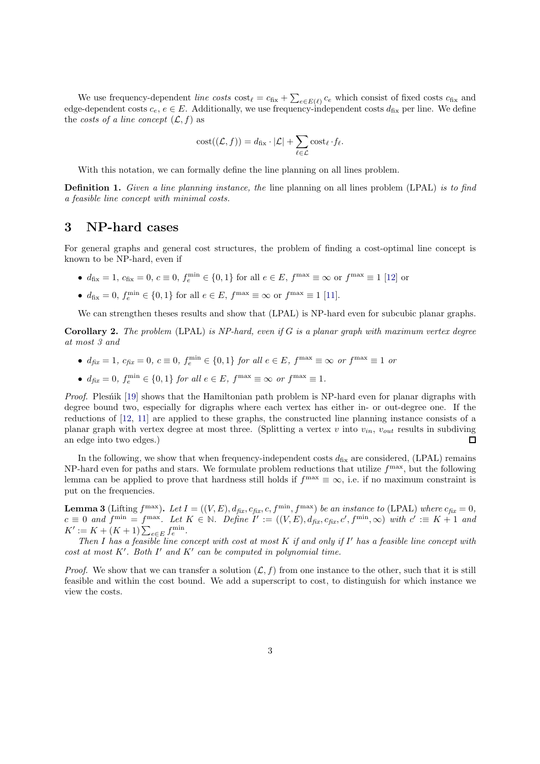We use frequency-dependent *line costs*  $\cos t_{\ell} = c_{fix} + \sum_{e \in E(\ell)} c_e$  which consist of fixed costs  $c_{fix}$  and edge-dependent costs  $c_e, e \in E$ . Additionally, we use frequency-independent costs  $d_{fix}$  per line. We define the *costs of a line concept*  $(L, f)$  as

$$
cost((\mathcal{L}, f)) = d_{\text{fix}} \cdot |\mathcal{L}| + \sum_{\ell \in \mathcal{L}} cost_{\ell} \cdot f_{\ell}.
$$

With this notation, we can formally define the line planning on all lines problem.

Definition 1. *Given a line planning instance, the* line planning on all lines problem (LPAL) *is to find a feasible line concept with minimal costs.*

#### <span id="page-3-0"></span>3 NP-hard cases

For general graphs and general cost structures, the problem of finding a cost-optimal line concept is known to be NP-hard, even if

- $d_{\text{fix}} = 1, c_{\text{fix}} = 0, c \equiv 0, f_e^{\text{min}} \in \{0, 1\}$  for all  $e \in E, f^{\text{max}} \equiv \infty$  or  $f^{\text{max}} \equiv 1$  [\[12\]](#page-19-9) or
- $d_{\text{fix}} = 0$ ,  $f_e^{\min} \in \{0, 1\}$  for all  $e \in E$ ,  $f^{\max} \equiv \infty$  or  $f^{\max} \equiv 1$  [\[11\]](#page-19-12).

We can strengthen theses results and show that (LPAL) is NP-hard even for subcubic planar graphs.

<span id="page-3-1"></span>Corollary 2. *The problem* (LPAL) *is NP-hard, even if* G *is a planar graph with maximum vertex degree at most 3 and*

- $d_{fix} = 1, c_{fix} = 0, c \equiv 0, f_e^{\min} \in \{0, 1\} \text{ for all } e \in E, f^{\max} \equiv \infty \text{ or } f^{\max} \equiv 1 \text{ or }$
- $d_{fix} = 0$ ,  $f_e^{\min} \in \{0, 1\}$  for all  $e \in E$ ,  $f^{\max} \equiv \infty$  or  $f^{\max} \equiv 1$ .

*Proof.* Plesn't [\[19\]](#page-20-9) shows that the Hamiltonian path problem is NP-hard even for planar digraphs with degree bound two, especially for digraphs where each vertex has either in- or out-degree one. If the reductions of [\[12,](#page-19-9) [11\]](#page-19-12) are applied to these graphs, the constructed line planning instance consists of a planar graph with vertex degree at most three. (Splitting a vertex v into  $v_{in}$ ,  $v_{out}$  results in subdiving an edge into two edges.) □

In the following, we show that when frequency-independent costs  $d_{fix}$  are considered, (LPAL) remains NP-hard even for paths and stars. We formulate problem reductions that utilize  $f<sup>max</sup>$ , but the following lemma can be applied to prove that hardness still holds if  $f^{\text{max}} \equiv \infty$ , i.e. if no maximum constraint is put on the frequencies.

<span id="page-3-2"></span>**Lemma 3** (Lifting  $f^{\max}$ ). Let  $I = ((V, E), d_{fix}, c_{fix}, c, f^{\min}, f^{\max})$  be an instance to (LPAL) where  $c_{fix} = 0$ ,  $c \equiv 0$  and  $f^{\min} = f^{\max}$ . Let  $K \in \mathbb{N}$ . Define  $I' := ((V, E), d_{fix}, c_{fix}, c', f^{\min}, \infty)$  with  $c' := K + 1$  and  $K' := K + (K+1) \sum_{e \in E} f_e^{\min}$ .

*Then* I *has a feasible line concept with cost at most* K *if and only if* I ′ *has a feasible line concept with cost at most* K′ *. Both* I ′ *and* K′ *can be computed in polynomial time.*

*Proof.* We show that we can transfer a solution  $(\mathcal{L}, f)$  from one instance to the other, such that it is still feasible and within the cost bound. We add a superscript to cost, to distinguish for which instance we view the costs.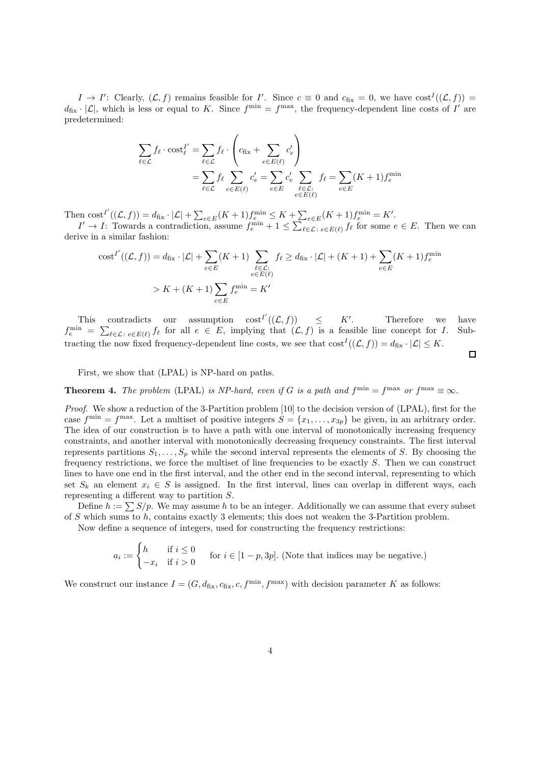$I \to I'$ : Clearly,  $(\mathcal{L}, f)$  remains feasible for I'. Since  $c \equiv 0$  and  $c_{fix} = 0$ , we have  $cost^{I}((\mathcal{L}, f)) =$  $d_{\text{fix}} \cdot |\mathcal{L}|$ , which is less or equal to K. Since  $f^{\min} = f^{\max}$ , the frequency-dependent line costs of I' are predetermined:

$$
\sum_{\ell \in \mathcal{L}} f_{\ell} \cdot \text{cost}_{\ell}^{I'} = \sum_{\ell \in \mathcal{L}} f_{\ell} \cdot \left( c_{\text{fix}} + \sum_{e \in E(\ell)} c'_{e} \right)
$$
\n
$$
= \sum_{\ell \in \mathcal{L}} f_{\ell} \sum_{e \in E(\ell)} c'_{e} = \sum_{e \in E} c'_{e} \sum_{\ell \in \mathcal{L}: \atop e \in E(\ell)} f_{\ell} = \sum_{e \in E} (K+1) f_{e}^{\min}
$$

Then  $\text{cost}^{I'}((\mathcal{L}, f)) = d_{\text{fix}} \cdot |\mathcal{L}| + \sum_{e \in E} (K+1) f_e^{\min} \leq K + \sum_{e \in E} (K+1) f_e^{\min} = K'.$ 

 $I' \to I$ : Towards a contradiction, assume  $f_e^{\min} + 1 \leq \sum_{\ell \in \mathcal{L}: e \in E(\ell)} f_{\ell}$  for some  $e \in E$ . Then we can derive in a similar fashion:

$$
\operatorname{cost}^{I'}((\mathcal{L}, f)) = d_{\text{fix}} \cdot |\mathcal{L}| + \sum_{e \in E} (K+1) \sum_{\substack{\ell \in \mathcal{L}: \\ e \in E(\ell)}} f_{\ell} \ge d_{\text{fix}} \cdot |\mathcal{L}| + (K+1) + \sum_{e \in E} (K+1) f_e^{\min}
$$
  
>  $K + (K+1) \sum_{e \in E} f_e^{\min} = K'$ 

This contradicts our assumption  $\text{cost}^{I'}((\mathcal{L}, f)) \leq K'$ . Therefore we have  $f_e^{\min} = \sum_{\ell \in \mathcal{L}: e \in E(\ell)} f_{\ell}$  for all  $e \in E$ , implying that  $(\mathcal{L}, f)$  is a feasible line concept for I. Subtracting the now fixed frequency-dependent line costs, we see that  $\text{cost}^{I}((\mathcal{L}, f)) = d_{\text{fix}} \cdot |\mathcal{L}| \leq K$ .

 $\Box$ 

First, we show that (LPAL) is NP-hard on paths.

<span id="page-4-0"></span>**Theorem 4.** The problem (LPAL) is NP-hard, even if G is a path and  $f^{\min} = f^{\max}$  or  $f^{\max} \equiv \infty$ .

*Proof.* We show a reduction of the 3-Partition problem [10] to the decision version of (LPAL), first for the case  $f^{\min} = f^{\max}$ . Let a multiset of positive integers  $S = \{x_1, \ldots, x_{3p}\}$  be given, in an arbitrary order. The idea of our construction is to have a path with one interval of monotonically increasing frequency constraints, and another interval with monotonically decreasing frequency constraints. The first interval represents partitions  $S_1, \ldots, S_p$  while the second interval represents the elements of S. By choosing the frequency restrictions, we force the multiset of line frequencies to be exactly S. Then we can construct lines to have one end in the first interval, and the other end in the second interval, representing to which set  $S_k$  an element  $x_i \in S$  is assigned. In the first interval, lines can overlap in different ways, each representing a different way to partition S.

Define  $h := \sum S/p$ . We may assume h to be an integer. Additionally we can assume that every subset of S which sums to h, contains exactly 3 elements; this does not weaken the 3-Partition problem.

Now define a sequence of integers, used for constructing the frequency restrictions:

$$
a_i := \begin{cases} h & \text{if } i \le 0 \\ -x_i & \text{if } i > 0 \end{cases}
$$
 for  $i \in [1-p, 3p]$ . (Note that indices may be negative.)

We construct our instance  $I = (G, d_{fix}, c_{fix}, c, f^{min}, f^{max})$  with decision parameter K as follows: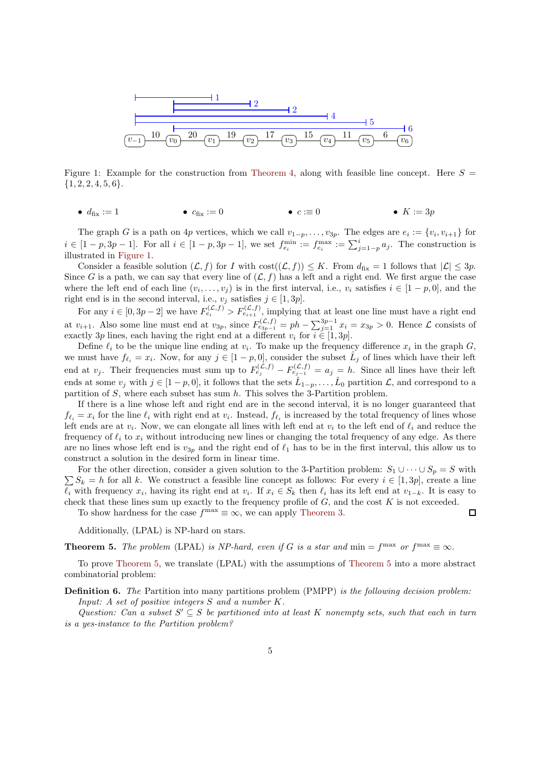

Figure 1: Example for the construction from [Theorem 4,](#page-4-0) along with feasible line concept. Here  $S =$  ${1, 2, 2, 4, 5, 6}.$ 

<span id="page-5-1"></span>•  $d_{\text{fix}} := 1$  •  $c_{\text{fix}} := 0$  •  $c := 0$  •  $K := 3p$ 

The graph G is a path on 4p vertices, which we call  $v_{1-p}, \ldots, v_{3p}$ . The edges are  $e_i := \{v_i, v_{i+1}\}\$ for  $i \in [1-p, 3p-1]$ . For all  $i \in [1-p, 3p-1]$ , we set  $f_{e_i}^{\min} := f_{e_i}^{\max} := \sum_{j=1-p}^{i} a_j$ . The construction is illustrated in [Figure 1.](#page-5-1)

Consider a feasible solution  $(\mathcal{L}, f)$  for I with  $\cos((\mathcal{L}, f)) \leq K$ . From  $d_{fix} = 1$  follows that  $|\mathcal{L}| \leq 3p$ . Since G is a path, we can say that every line of  $(\mathcal{L}, f)$  has a left and a right end. We first argue the case where the left end of each line  $(v_i, \ldots, v_j)$  is in the first interval, i.e.,  $v_i$  satisfies  $i \in [1-p, 0]$ , and the right end is in the second interval, i.e.,  $v_j$  satisfies  $j \in [1, 3p]$ .

For any  $i \in [0, 3p-2]$  we have  $F_{e_i}^{(\mathcal{L},f)} > F_{e_{i+1}}^{(\mathcal{L},f)}$ , implying that at least one line must have a right end at  $v_{i+1}$ . Also some line must end at  $v_{3p}$ , since  $F_{e_{3p-1}}^{(\mathcal{L},f)} = ph - \sum_{j=1}^{3p-1} x_i = x_{3p} > 0$ . Hence  $\mathcal{L}$  consists of exactly 3p lines, each having the right end at a different  $v_i$  for  $i \in [1, 3p]$ .

Define  $\ell_i$  to be the unique line ending at  $v_i$ . To make up the frequency difference  $x_i$  in the graph  $G$ , we must have  $f_{\ell_i} = x_i$ . Now, for any  $j \in [1-p,0]$ , consider the subset  $\hat{L}_j$  of lines which have their left end at  $v_j$ . Their frequencies must sum up to  $F_{e_j}^{(\mathcal{L},f)} - F_{e_{j-1}}^{(\mathcal{L},f)} = a_j = h$ . Since all lines have their left ends at some  $v_j$  with  $j \in [1-p, 0]$ , it follows that the sets  $\hat{L}_{1-p}, \ldots, \hat{L}_0$  partition  $\mathcal{L}$ , and correspond to a partition of  $S$ , where each subset has sum  $h$ . This solves the 3-Partition problem.

If there is a line whose left and right end are in the second interval, it is no longer guaranteed that  $f_{\ell_i} = x_i$  for the line  $\ell_i$  with right end at  $v_i$ . Instead,  $f_{\ell_i}$  is increased by the total frequency of lines whose left ends are at  $v_i$ . Now, we can elongate all lines with left end at  $v_i$  to the left end of  $\ell_i$  and reduce the frequency of  $\ell_i$  to  $x_i$  without introducing new lines or changing the total frequency of any edge. As there are no lines whose left end is  $v_{3p}$  and the right end of  $\ell_1$  has to be in the first interval, this allow us to construct a solution in the desired form in linear time.

For the other direction, consider a given solution to the 3-Partition problem:  $S_1 \cup \cdots \cup S_p = S$  with  $\sum S_k = h$  for all k. We construct a feasible line concept as follows: For every  $i \in [1,3p]$ , create a line  $\ell_i$  with frequency  $x_i$ , having its right end at  $v_i$ . If  $x_i \in S_k$  then  $\ell_i$  has its left end at  $v_{1-k}$ . It is easy to check that these lines sum up exactly to the frequency profile of  $G$ , and the cost  $K$  is not exceeded.  $\Box$ 

To show hardness for the case  $f^{\text{max}} \equiv \infty$ , we can apply [Theorem 3.](#page-3-2)

Additionally, (LPAL) is NP-hard on stars.

<span id="page-5-0"></span>**Theorem 5.** The problem (LPAL) is NP-hard, even if G is a star and  $\min = f^{\max}$  or  $f^{\max} \equiv \infty$ .

To prove [Theorem 5,](#page-5-0) we translate (LPAL) with the assumptions of [Theorem 5](#page-5-0) into a more abstract combinatorial problem:

Definition 6. *The* Partition into many partitions problem (PMPP) *is the following decision problem: Input: A set of positive integers* S *and a number* K*.*

Question: Can a subset  $S' \subseteq S$  be partitioned into at least K nonempty sets, such that each in turn *is a yes-instance to the Partition problem?*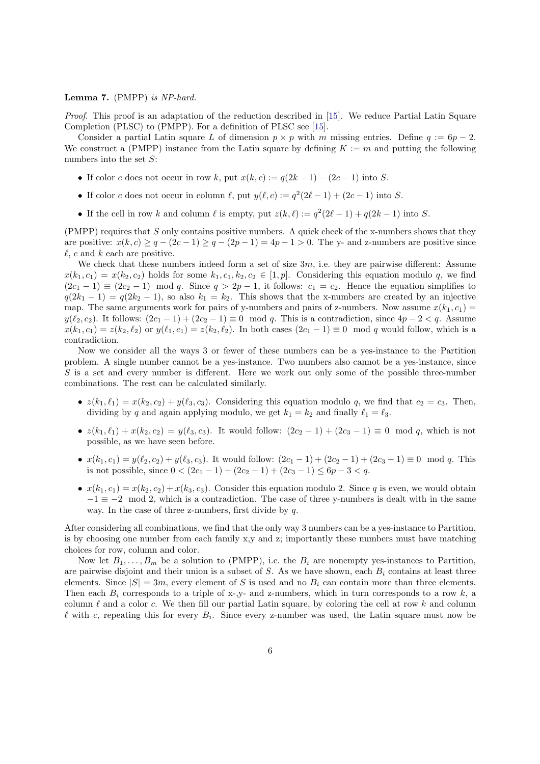#### Lemma 7. (PMPP) *is NP-hard.*

*Proof.* This proof is an adaptation of the reduction described in [\[15\]](#page-19-13). We reduce Partial Latin Square Completion (PLSC) to (PMPP). For a definition of PLSC see [\[15\]](#page-19-13).

Consider a partial Latin square L of dimension  $p \times p$  with m missing entries. Define  $q := 6p - 2$ . We construct a (PMPP) instance from the Latin square by defining  $K := m$  and putting the following numbers into the set  $S$ :

- If color c does not occur in row k, put  $x(k, c) := q(2k 1) (2c 1)$  into S.
- If color c does not occur in column  $\ell$ , put  $y(\ell, c) := q^2(2\ell 1) + (2c 1)$  into S.
- If the cell in row k and column  $\ell$  is empty, put  $z(k, \ell) := q^2(2\ell 1) + q(2k 1)$  into S.

(PMPP) requires that S only contains positive numbers. A quick check of the x-numbers shows that they are positive:  $x(k, c) \ge q - (2c - 1) \ge q - (2p - 1) = 4p - 1 > 0$ . The y- and z-numbers are positive since  $\ell$ , c and k each are positive.

We check that these numbers indeed form a set of size  $3m$ , i.e. they are pairwise different: Assume  $x(k_1, c_1) = x(k_2, c_2)$  holds for some  $k_1, c_1, k_2, c_2 \in [1, p]$ . Considering this equation modulo q, we find  $(2c_1 - 1) \equiv (2c_2 - 1) \mod q$ . Since  $q > 2p - 1$ , it follows:  $c_1 = c_2$ . Hence the equation simplifies to  $q(2k_1 - 1) = q(2k_2 - 1)$ , so also  $k_1 = k_2$ . This shows that the x-numbers are created by an injective map. The same arguments work for pairs of y-numbers and pairs of z-numbers. Now assume  $x(k_1, c_1)$  $y(\ell_2, c_2)$ . It follows:  $(2c_1 - 1) + (2c_2 - 1) \equiv 0 \mod q$ . This is a contradiction, since  $4p - 2 < q$ . Assume  $x(k_1, c_1) = z(k_2, \ell_2)$  or  $y(\ell_1, c_1) = z(k_2, \ell_2)$ . In both cases  $(2c_1 - 1) \equiv 0 \mod q$  would follow, which is a contradiction.

Now we consider all the ways 3 or fewer of these numbers can be a yes-instance to the Partition problem. A single number cannot be a yes-instance. Two numbers also cannot be a yes-instance, since  $S$  is a set and every number is different. Here we work out only some of the possible three-number combinations. The rest can be calculated similarly.

- $z(k_1, \ell_1) = x(k_2, c_2) + y(\ell_3, c_3)$ . Considering this equation modulo q, we find that  $c_2 = c_3$ . Then, dividing by q and again applying modulo, we get  $k_1 = k_2$  and finally  $\ell_1 = \ell_3$ .
- $z(k_1, \ell_1) + x(k_2, c_2) = y(\ell_3, c_3)$ . It would follow:  $(2c_2 1) + (2c_3 1) \equiv 0 \mod q$ , which is not possible, as we have seen before.
- $x(k_1, c_1) = y(\ell_2, c_2) + y(\ell_3, c_3)$ . It would follow:  $(2c_1 1) + (2c_2 1) + (2c_3 1) \equiv 0 \mod q$ . This is not possible, since  $0 < (2c_1 - 1) + (2c_2 - 1) + (2c_3 - 1) \le 6p - 3 < q$ .
- $x(k_1, c_1) = x(k_2, c_2) + x(k_3, c_3)$ . Consider this equation modulo 2. Since q is even, we would obtain  $-1 \equiv -2 \mod 2$ , which is a contradiction. The case of three y-numbers is dealt with in the same way. In the case of three z-numbers, first divide by q.

After considering all combinations, we find that the only way 3 numbers can be a yes-instance to Partition, is by choosing one number from each family x,y and z; importantly these numbers must have matching choices for row, column and color.

Now let  $B_1, \ldots, B_m$  be a solution to (PMPP), i.e. the  $B_i$  are nonempty yes-instances to Partition, are pairwise disjoint and their union is a subset of S. As we have shown, each  $B_i$  contains at least three elements. Since  $|S| = 3m$ , every element of S is used and no  $B<sub>i</sub>$  can contain more than three elements. Then each  $B_i$  corresponds to a triple of x-,y- and z-numbers, which in turn corresponds to a row k, a column  $\ell$  and a color c. We then fill our partial Latin square, by coloring the cell at row k and column  $\ell$  with c, repeating this for every  $B_i$ . Since every z-number was used, the Latin square must now be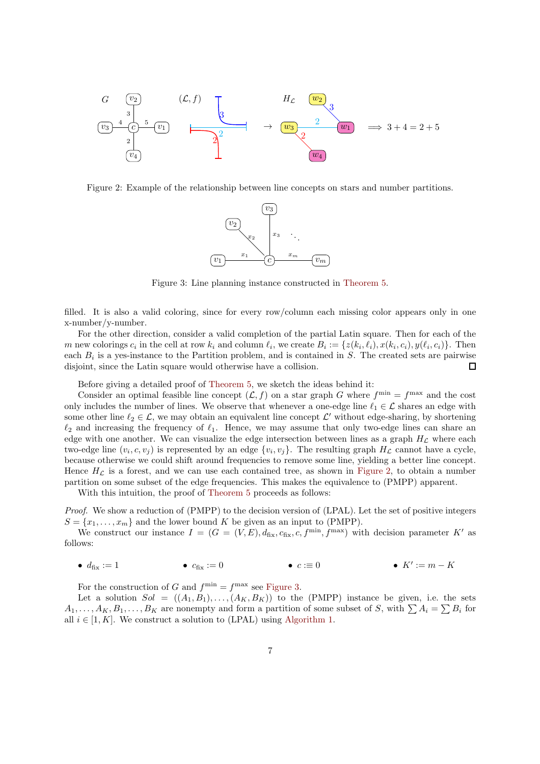

<span id="page-7-0"></span>Figure 2: Example of the relationship between line concepts on stars and number partitions.



<span id="page-7-1"></span>Figure 3: Line planning instance constructed in [Theorem 5.](#page-5-0)

filled. It is also a valid coloring, since for every row/column each missing color appears only in one x-number/y-number.

For the other direction, consider a valid completion of the partial Latin square. Then for each of the m new colorings  $c_i$  in the cell at row  $k_i$  and column  $\ell_i$ , we create  $B_i := \{z(k_i, \ell_i), x(k_i, c_i), y(\ell_i, c_i)\}\.$  Then each  $B_i$  is a yes-instance to the Partition problem, and is contained in S. The created sets are pairwise disjoint, since the Latin square would otherwise have a collision.  $\Box$ 

Before giving a detailed proof of [Theorem 5,](#page-5-0) we sketch the ideas behind it:

Consider an optimal feasible line concept  $(\mathcal{L}, f)$  on a star graph G where  $f^{\min} = f^{\max}$  and the cost only includes the number of lines. We observe that whenever a one-edge line  $\ell_1 \in \mathcal{L}$  shares an edge with some other line  $\ell_2 \in \mathcal{L}$ , we may obtain an equivalent line concept  $\mathcal{L}'$  without edge-sharing, by shortening  $\ell_2$  and increasing the frequency of  $\ell_1$ . Hence, we may assume that only two-edge lines can share an edge with one another. We can visualize the edge intersection between lines as a graph  $H<sub>L</sub>$  where each two-edge line  $(v_i, c, v_j)$  is represented by an edge  $\{v_i, v_j\}$ . The resulting graph  $H_{\mathcal{L}}$  cannot have a cycle, because otherwise we could shift around frequencies to remove some line, yielding a better line concept. Hence  $H_{\mathcal{L}}$  is a forest, and we can use each contained tree, as shown in [Figure 2,](#page-7-0) to obtain a number partition on some subset of the edge frequencies. This makes the equivalence to (PMPP) apparent.

With this intuition, the proof of [Theorem 5](#page-5-0) proceeds as follows:

*Proof.* We show a reduction of (PMPP) to the decision version of (LPAL). Let the set of positive integers  $S = \{x_1, \ldots, x_m\}$  and the lower bound K be given as an input to (PMPP).

We construct our instance  $I = (G = (V, E), d_{fix}, c_{fix}, c, f^{min}, f^{max})$  with decision parameter K' as follows:

•  $d_{fix} := 1$  •  $c_{fix} := 0$  •  $c := 0$  $\bullet$   $K' := m - K$ 

For the construction of G and  $f^{\min} = f^{\max}$  see [Figure 3.](#page-7-1)

Let a solution  $Sol = ((A_1, B_1), \ldots, (A_K, B_K))$  to the (PMPP) instance be given, i.e. the sets  $A_1, \ldots, A_K, B_1, \ldots, B_K$  are nonempty and form a partition of some subset of S, with  $\sum A_i = \sum B_i$  for all  $i \in [1, K]$ . We construct a solution to (LPAL) using [Algorithm 1.](#page-8-0)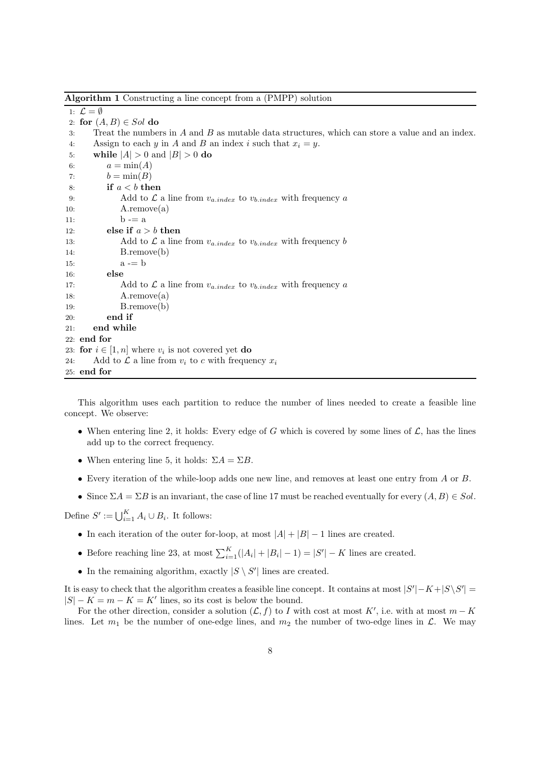<span id="page-8-0"></span>Algorithm 1 Constructing a line concept from a (PMPP) solution

1:  $\mathcal{L} = \emptyset$ 2: for  $(A, B) \in Sol$  do 3: Treat the numbers in A and B as mutable data structures, which can store a value and an index. 4: Assign to each y in A and B an index i such that  $x_i = y$ . 5: while  $|A| > 0$  and  $|B| > 0$  do 6:  $a = \min(A)$ 7:  $b = \min(B)$ 8: if  $a < b$  then 9: Add to  $\mathcal L$  a line from  $v_{a.index}$  to  $v_{b.index}$  with frequency a 10:  $A$ .remove(a) 11:  $b = a$ 12: else if  $a > b$  then 13: Add to  $\mathcal L$  a line from  $v_{a.index}$  to  $v_{b.index}$  with frequency b 14: B.remove(b) 15:  $a = b$ 16: else 17: Add to  $\mathcal L$  a line from  $v_{a.index}$  to  $v_{b.index}$  with frequency a 18: A.remove(a) 19: B.remove(b) 20: end if 21: end while 22: end for 23: for  $i \in [1, n]$  where  $v_i$  is not covered yet **do** 24: Add to  $\mathcal L$  a line from  $v_i$  to c with frequency  $x_i$ 25: end for

This algorithm uses each partition to reduce the number of lines needed to create a feasible line concept. We observe:

- When entering line 2, it holds: Every edge of G which is covered by some lines of  $\mathcal{L}$ , has the lines add up to the correct frequency.
- When entering line 5, it holds:  $\Sigma A = \Sigma B$ .
- Every iteration of the while-loop adds one new line, and removes at least one entry from A or B.
- Since  $\Sigma A = \Sigma B$  is an invariant, the case of line 17 must be reached eventually for every  $(A, B) \in Sol$ .

Define  $S' := \bigcup_{i=1}^K A_i \cup B_i$ . It follows:

- In each iteration of the outer for-loop, at most  $|A| + |B| 1$  lines are created.
- Before reaching line 23, at most  $\sum_{i=1}^{K}(|A_i| + |B_i| 1) = |S'| K$  lines are created.
- In the remaining algorithm, exactly  $|S \setminus S'|$  lines are created.

It is easy to check that the algorithm creates a feasible line concept. It contains at most  $|S'| - K + |S \setminus S'|$  $|S| - K = m - K = K'$  lines, so its cost is below the bound.

For the other direction, consider a solution  $(\mathcal{L}, f)$  to I with cost at most K', i.e. with at most  $m - K$ lines. Let  $m_1$  be the number of one-edge lines, and  $m_2$  the number of two-edge lines in  $\mathcal{L}$ . We may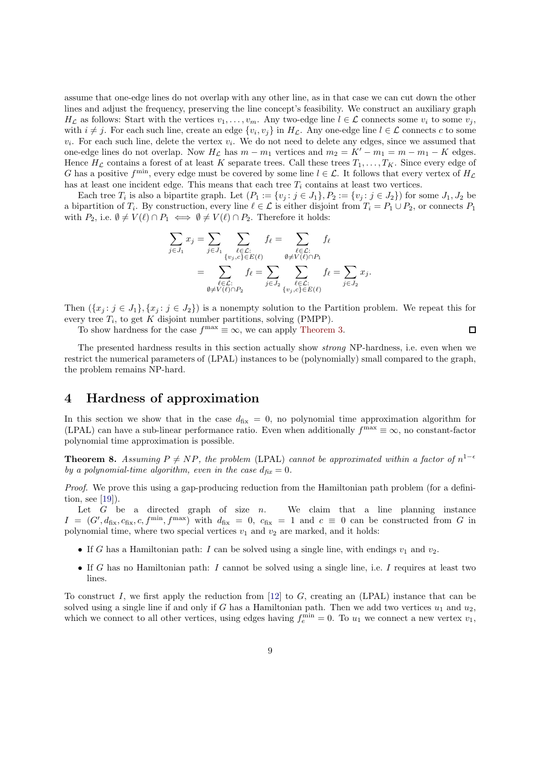assume that one-edge lines do not overlap with any other line, as in that case we can cut down the other lines and adjust the frequency, preserving the line concept's feasibility. We construct an auxiliary graph  $H_{\mathcal{L}}$  as follows: Start with the vertices  $v_1, \ldots, v_m$ . Any two-edge line  $l \in \mathcal{L}$  connects some  $v_i$  to some  $v_j$ , with  $i \neq j$ . For each such line, create an edge  $\{v_i, v_j\}$  in  $H_{\mathcal{L}}$ . Any one-edge line  $l \in \mathcal{L}$  connects c to some  $v_i$ . For each such line, delete the vertex  $v_i$ . We do not need to delete any edges, since we assumed that one-edge lines do not overlap. Now  $H_{\mathcal{L}}$  has  $m - m_1$  vertices and  $m_2 = K' - m_1 = m - m_1 - K$  edges. Hence  $H_{\mathcal{L}}$  contains a forest of at least K separate trees. Call these trees  $T_1, \ldots, T_K$ . Since every edge of G has a positive  $f^{\min}$ , every edge must be covered by some line  $l \in \mathcal{L}$ . It follows that every vertex of  $H_{\mathcal{L}}$ has at least one incident edge. This means that each tree  $T_i$  contains at least two vertices.

Each tree  $T_i$  is also a bipartite graph. Let  $(P_1 := \{v_j : j \in J_1\}, P_2 := \{v_j : j \in J_2\})$  for some  $J_1, J_2$  be a bipartition of  $T_i$ . By construction, every line  $\ell \in \mathcal{L}$  is either disjoint from  $T_i = P_1 \cup P_2$ , or connects  $P_1$ with  $P_2$ , i.e.  $\emptyset \neq V(\ell) \cap P_1 \iff \emptyset \neq V(\ell) \cap P_2$ . Therefore it holds:

$$
\sum_{j \in J_1} x_j = \sum_{j \in J_1} \sum_{\substack{\ell \in \mathcal{L}: \\ \{v_j, c\} \in E(\ell)}} f_\ell = \sum_{\substack{\ell \in \mathcal{L}: \\ \emptyset \neq V(\ell) \cap P_1}} f_\ell
$$
\n
$$
= \sum_{\substack{\ell \in \mathcal{L}: \\ \emptyset \neq V(\ell) \cap P_2}} f_\ell = \sum_{j \in J_2} \sum_{\substack{\ell \in \mathcal{L}: \\ \{v_j, c\} \in E(\ell)}} f_\ell = \sum_{j \in J_2} x_j.
$$

Then  $({x_i : j \in J_1}, {x_i : j \in J_2})$  is a nonempty solution to the Partition problem. We repeat this for every tree  $T_i$ , to get K disjoint number partitions, solving (PMPP).

To show hardness for the case  $f^{\text{max}} \equiv \infty$ , we can apply [Theorem 3.](#page-3-2)

 $\Box$ 

The presented hardness results in this section actually show *strong* NP-hardness, i.e. even when we restrict the numerical parameters of (LPAL) instances to be (polynomially) small compared to the graph, the problem remains NP-hard.

### <span id="page-9-0"></span>4 Hardness of approximation

In this section we show that in the case  $d_{fix} = 0$ , no polynomial time approximation algorithm for (LPAL) can have a sub-linear performance ratio. Even when additionally  $f^{\text{max}} \equiv \infty$ , no constant-factor polynomial time approximation is possible.

**Theorem 8.** Assuming  $P \neq NP$ , the problem (LPAL) *cannot be approximated within a factor of*  $n^{1-\epsilon}$ *by a polynomial-time algorithm, even in the case*  $d_{\text{fix}} = 0$ .

*Proof.* We prove this using a gap-producing reduction from the Hamiltonian path problem (for a definition, see [\[19\]](#page-20-9)).

Let  $G$  be a directed graph of size  $n$ . We claim that a line planning instance  $I = (G', d_{\text{fix}}, c_{\text{fix}}, c, f^{\text{min}}, f^{\text{max}})$  with  $d_{\text{fix}} = 0$ ,  $c_{\text{fix}} = 1$  and  $c \equiv 0$  can be constructed from G in polynomial time, where two special vertices  $v_1$  and  $v_2$  are marked, and it holds:

- If G has a Hamiltonian path: I can be solved using a single line, with endings  $v_1$  and  $v_2$ .
- If G has no Hamiltonian path: I cannot be solved using a single line, i.e. I requires at least two lines.

To construct I, we first apply the reduction from  $[12]$  to G, creating an (LPAL) instance that can be solved using a single line if and only if G has a Hamiltonian path. Then we add two vertices  $u_1$  and  $u_2$ , which we connect to all other vertices, using edges having  $f_e^{\min} = 0$ . To  $u_1$  we connect a new vertex  $v_1$ ,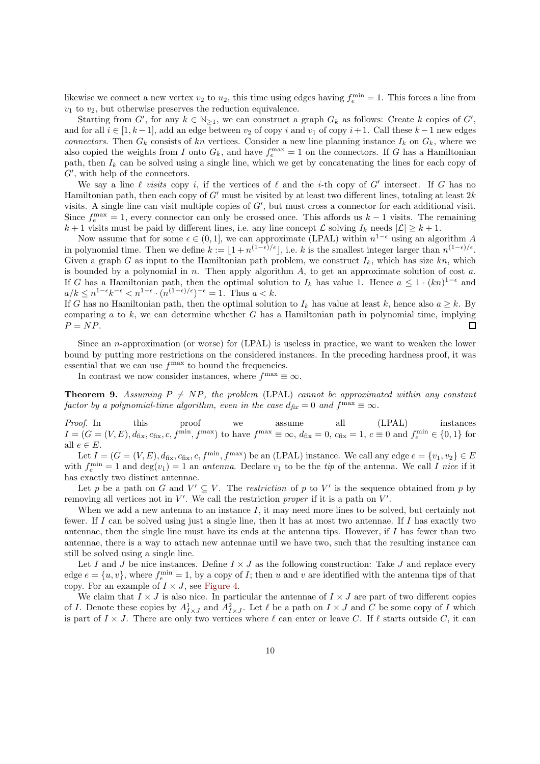likewise we connect a new vertex  $v_2$  to  $u_2$ , this time using edges having  $f_e^{\text{min}} = 1$ . This forces a line from  $v_1$  to  $v_2$ , but otherwise preserves the reduction equivalence.

Starting from G', for any  $k \in \mathbb{N}_{\geq 1}$ , we can construct a graph  $G_k$  as follows: Create k copies of G', and for all  $i \in [1, k-1]$ , add an edge between  $v_2$  of copy i and  $v_1$  of copy  $i+1$ . Call these  $k-1$  new edges *connectors*. Then  $G_k$  consists of kn vertices. Consider a new line planning instance  $I_k$  on  $G_k$ , where we also copied the weights from I onto  $G_k$ , and have  $f_e^{\max} = 1$  on the connectors. If G has a Hamiltonian path, then  $I_k$  can be solved using a single line, which we get by concatenating the lines for each copy of G′ , with help of the connectors.

We say a line  $\ell$  *visits* copy i, if the vertices of  $\ell$  and the i-th copy of G' intersect. If G has no Hamiltonian path, then each copy of  $G'$  must be visited by at least two different lines, totaling at least  $2k$ visits. A single line can visit multiple copies of G', but must cross a connector for each additional visit. Since  $f_e^{\text{max}} = 1$ , every connector can only be crossed once. This affords us  $k-1$  visits. The remaining  $k+1$  visits must be paid by different lines, i.e. any line concept  $\mathcal L$  solving  $I_k$  needs  $|\mathcal L| \geq k+1$ .

Now assume that for some  $\epsilon \in (0,1]$ , we can approximate (LPAL) within  $n^{1-\epsilon}$  using an algorithm A in polynomial time. Then we define  $k := \lfloor 1 + n^{(1-\epsilon)/\epsilon} \rfloor$ , i.e. k is the smallest integer larger than  $n^{(1-\epsilon)/\epsilon}$ . Given a graph G as input to the Hamiltonian path problem, we construct  $I_k$ , which has size kn, which is bounded by a polynomial in  $n$ . Then apply algorithm  $A$ , to get an approximate solution of cost  $a$ . If G has a Hamiltonian path, then the optimal solution to  $I_k$  has value 1. Hence  $a \leq 1 \cdot (kn)^{1-\epsilon}$  and  $a/k \leq n^{1-\epsilon}k^{-\epsilon} < n^{1-\epsilon} \cdot (n^{(1-\epsilon)/\epsilon})^{-\epsilon} = 1$ . Thus  $a < k$ .

If G has no Hamiltonian path, then the optimal solution to  $I_k$  has value at least k, hence also  $a \geq k$ . By comparing a to  $k$ , we can determine whether G has a Hamiltonian path in polynomial time, implying  $P = NP$ .  $\Box$ 

Since an n-approximation (or worse) for  $(LPAL)$  is useless in practice, we want to weaken the lower bound by putting more restrictions on the considered instances. In the preceding hardness proof, it was essential that we can use  $f^{\text{max}}$  to bound the frequencies.

In contrast we now consider instances, where  $f^{\text{max}} \equiv \infty$ .

**Theorem 9.** Assuming  $P \neq NP$ , the problem (LPAL) cannot be approximated within any constant *factor by a polynomial-time algorithm, even in the case*  $d_{\text{fix}} = 0$  and  $f^{\text{max}} \equiv \infty$ .

*Proof.* In this proof we assume all (LPAL) instances  $I = (G = (V, E), d_{\text{fix}}, c_{\text{fix}}, c, f^{\text{min}}, f^{\text{max}})$  to have  $f^{\text{max}} \equiv \infty$ ,  $d_{\text{fix}} = 0$ ,  $c_{\text{fix}} = 1$ ,  $c \equiv 0$  and  $f^{\text{min}}_e \in \{0, 1\}$  for all  $e \in E$ .

Let  $I = (G = (V, E), d_{\text{fix}}, c_{\text{fix}}, c, f^{\text{min}}, f^{\text{max}})$  be an (LPAL) instance. We call any edge  $e = \{v_1, v_2\} \in E$ with  $f_e^{\text{min}} = 1$  and  $\deg(v_1) = 1$  an *antenna*. Declare  $v_1$  to be the *tip* of the antenna. We call I nice if it has exactly two distinct antennae.

Let p be a path on G and  $V' \subseteq V$ . The *restriction* of p to V' is the sequence obtained from p by removing all vertices not in  $V'$ . We call the restriction *proper* if it is a path on  $V'$ .

When we add a new antenna to an instance I, it may need more lines to be solved, but certainly not fewer. If  $I$  can be solved using just a single line, then it has at most two antennae. If  $I$  has exactly two antennae, then the single line must have its ends at the antenna tips. However, if  $I$  has fewer than two antennae, there is a way to attach new antennae until we have two, such that the resulting instance can still be solved using a single line.

Let I and J be nice instances. Define  $I \times J$  as the following construction: Take J and replace every edge  $e = \{u, v\}$ , where  $f_e^{\min} = 1$ , by a copy of *I*; then *u* and *v* are identified with the antenna tips of that copy. For an example of  $I \times J$ , see [Figure 4.](#page-11-0)

We claim that  $I \times J$  is also nice. In particular the antennae of  $I \times J$  are part of two different copies of I. Denote these copies by  $A^1_{I\times J}$  and  $A^2_{I\times J}$ . Let  $\ell$  be a path on  $I\times J$  and  $C$  be some copy of I which is part of  $I \times J$ . There are only two vertices where  $\ell$  can enter or leave C. If  $\ell$  starts outside C, it can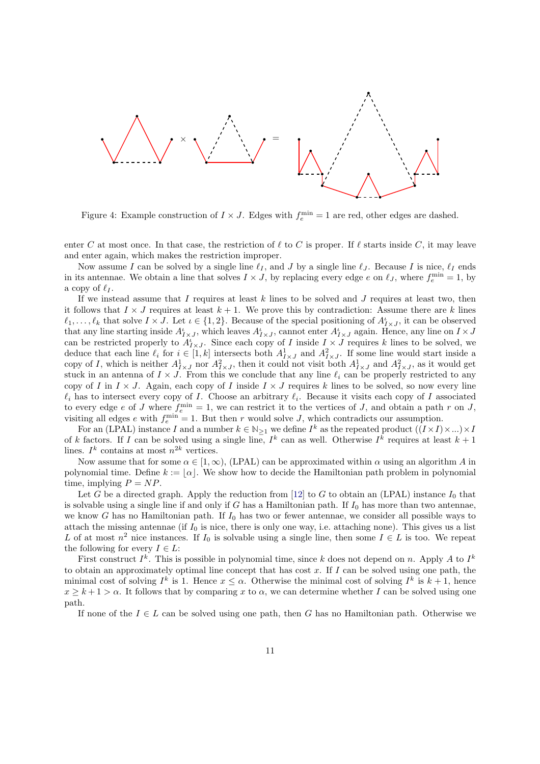

<span id="page-11-0"></span>Figure 4: Example construction of  $I \times J$ . Edges with  $f_e^{\min} = 1$  are red, other edges are dashed.

enter C at most once. In that case, the restriction of  $\ell$  to C is proper. If  $\ell$  starts inside C, it may leave and enter again, which makes the restriction improper.

Now assume I can be solved by a single line  $\ell_I$ , and J by a single line  $\ell_J$ . Because I is nice,  $\ell_I$  ends in its antennae. We obtain a line that solves  $I \times J$ , by replacing every edge e on  $\ell_J$ , where  $f_e^{\min} = 1$ , by a copy of  $\ell_I$ .

If we instead assume that I requires at least  $k$  lines to be solved and  $J$  requires at least two, then it follows that  $I \times J$  requires at least  $k + 1$ . We prove this by contradiction: Assume there are k lines  $\ell_1,\ldots,\ell_k$  that solve  $I \times J$ . Let  $\iota \in \{1,2\}$ . Because of the special positioning of  $A_{I \times J}^{\iota}$ , it can be observed that any line starting inside  $A_{I\times J}^i$ , which leaves  $A_{I\times J}^i$ , cannot enter  $A_{I\times J}^i$  again. Hence, any line on  $I\times J$ can be restricted properly to  $A_{I\times J}^i$ . Since each copy of I inside  $I \times J$  requires k lines to be solved, we deduce that each line  $\ell_i$  for  $i \in [1, k]$  intersects both  $A^1_{I \times J}$  and  $A^2_{I \times J}$ . If some line would start inside a copy of I, which is neither  $A^1_{I\times J}$  nor  $A^2_{I\times J}$ , then it could not visit both  $A^1_{I\times J}$  and  $A^2_{I\times J}$ , as it would get stuck in an antenna of  $I \times J$ . From this we conclude that any line  $\ell_i$  can be properly restricted to any copy of I in  $I \times J$ . Again, each copy of I inside  $I \times J$  requires k lines to be solved, so now every line  $\ell_i$  has to intersect every copy of I. Choose an arbitrary  $\ell_i$ . Because it visits each copy of I associated to every edge e of J where  $f_e^{\text{min}} = 1$ , we can restrict it to the vertices of J, and obtain a path r on J, visiting all edges e with  $f_e^{\min} = 1$ . But then r would solve J, which contradicts our assumption.

For an (LPAL) instance I and a number  $k \in \mathbb{N}_{\geq 1}$  we define  $I^k$  as the repeated product  $((I \times I) \times ...) \times I$ of k factors. If I can be solved using a single line,  $I^k$  can as well. Otherwise  $I^k$  requires at least  $k+1$ lines.  $I^k$  contains at most  $n^{2k}$  vertices.

Now assume that for some  $\alpha \in [1,\infty)$ , (LPAL) can be approximated within  $\alpha$  using an algorithm A in polynomial time. Define  $k := |\alpha|$ . We show how to decide the Hamiltonian path problem in polynomial time, implying  $P = NP$ .

Let G be a directed graph. Apply the reduction from [\[12\]](#page-19-9) to G to obtain an (LPAL) instance  $I_0$  that is solvable using a single line if and only if  $G$  has a Hamiltonian path. If  $I_0$  has more than two antennae, we know G has no Hamiltonian path. If  $I_0$  has two or fewer antennae, we consider all possible ways to attach the missing antennae (if  $I_0$  is nice, there is only one way, i.e. attaching none). This gives us a list L of at most  $n^2$  nice instances. If  $I_0$  is solvable using a single line, then some  $I \in L$  is too. We repeat the following for every  $I \in L$ :

First construct  $I^k$ . This is possible in polynomial time, since k does not depend on n. Apply A to  $I^k$ to obtain an approximately optimal line concept that has cost  $x$ . If  $I$  can be solved using one path, the minimal cost of solving  $I^k$  is 1. Hence  $x \leq \alpha$ . Otherwise the minimal cost of solving  $I^k$  is  $k+1$ , hence  $x \geq k+1 > \alpha$ . It follows that by comparing x to  $\alpha$ , we can determine whether I can be solved using one path.

If none of the  $I \in L$  can be solved using one path, then G has no Hamiltonian path. Otherwise we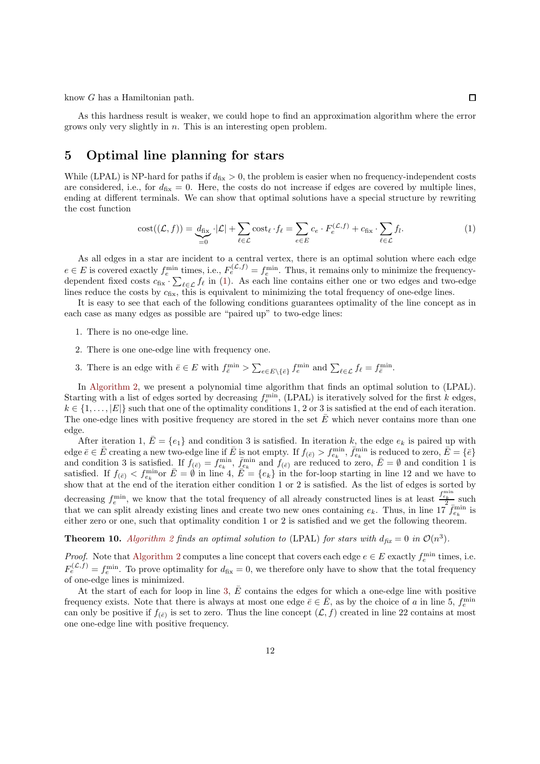know G has a Hamiltonian path.

As this hardness result is weaker, we could hope to find an approximation algorithm where the error grows only very slightly in n. This is an interesting open problem.

## <span id="page-12-0"></span>5 Optimal line planning for stars

While (LPAL) is NP-hard for paths if  $d_{fix} > 0$ , the problem is easier when no frequency-independent costs are considered, i.e., for  $d_{fix} = 0$ . Here, the costs do not increase if edges are covered by multiple lines, ending at different terminals. We can show that optimal solutions have a special structure by rewriting the cost function

<span id="page-12-2"></span>
$$
\text{cost}((\mathcal{L}, f)) = \underbrace{d_{\text{fix}}}_{=0} \cdot |\mathcal{L}| + \sum_{\ell \in \mathcal{L}} \text{cost}_{\ell} \cdot f_{\ell} = \sum_{e \in E} c_e \cdot F_e^{(\mathcal{L}, f)} + c_{\text{fix}} \cdot \sum_{\ell \in \mathcal{L}} f_{\ell}.
$$
 (1)

As all edges in a star are incident to a central vertex, there is an optimal solution where each edge  $e \in E$  is covered exactly  $f_e^{\min}$  times, i.e.,  $F_e^{(\mathcal{L},f)} = f_e^{\min}$ . Thus, it remains only to minimize the frequencydependent fixed costs  $c_{fix} \cdot \sum_{\ell \in \mathcal{L}} f_{\ell}$  in [\(1\)](#page-12-2). As each line contains either one or two edges and two-edge lines reduce the costs by  $c_{fix}$ , this is equivalent to minimizing the total frequency of one-edge lines.

It is easy to see that each of the following conditions guarantees optimality of the line concept as in each case as many edges as possible are "paired up" to two-edge lines:

- 1. There is no one-edge line.
- 2. There is one one-edge line with frequency one.
- 3. There is an edge with  $\bar{e} \in E$  with  $f_{\bar{e}}^{\min} > \sum_{e \in E \setminus \{\bar{e}\}} f_e^{\min}$  and  $\sum_{\ell \in \mathcal{L}} f_{\ell} = f_{\bar{e}}^{\min}$ .

In [Algorithm 2,](#page-13-0) we present a polynomial time algorithm that finds an optimal solution to (LPAL). Starting with a list of edges sorted by decreasing  $f_e^{\min}$ , (LPAL) is iteratively solved for the first k edges,  $k \in \{1, \ldots, |E|\}$  such that one of the optimality conditions 1, 2 or 3 is satisfied at the end of each iteration. The one-edge lines with positive frequency are stored in the set  $\bar{E}$  which never contains more than one edge.

After iteration 1,  $\bar{E} = \{e_1\}$  and condition 3 is satisfied. In iteration k, the edge  $e_k$  is paired up with  $\text{edge } \overline{e} \in \overline{E} \text{ creating a new two-edge line if } \overline{E} \text{ is not empty. If } f_{(\overline{e})} > f_{e_k}^{\min}, \overline{f}_{e_k}^{\min} \text{ is reduced to zero, } \overline{E} = \{\overline{e}\}\$ and condition 3 is satisfied. If  $f_{(\bar{e})} = f_{e_k}^{\min}$ ,  $\bar{f}_{e_k}^{\min}$  and  $f_{(\bar{e})}$  are reduced to zero,  $\bar{E} = \emptyset$  and condition 1 is satisfied. If  $f_{(\bar{e})} < f_{e_k}^{\min}$  or  $\bar{E} = \emptyset$  in line 4,  $\bar{E} = \{e_k\}$  in the for-loop starting in line 12 and we have to show that at the end of the iteration either condition 1 or 2 is satisfied. As the list of edges is sorted by decreasing  $f_e^{\min}$ , we know that the total frequency of all already constructed lines is at least  $\frac{f_{e_k}^{\min}}{2}$  such that we can split already existing lines and create two new ones containing  $e_k$ . Thus, in line  $17 \bar{f}_{e_k}^{\min}$  is either zero or one, such that optimality condition 1 or 2 is satisfied and we get the following theorem.

<span id="page-12-1"></span>**Theorem 10.** [Algorithm 2](#page-13-0) finds an optimal solution to (LPAL) for stars with  $d_{fix} = 0$  in  $\mathcal{O}(n^3)$ .

*Proof.* Note that [Algorithm 2](#page-13-0) computes a line concept that covers each edge  $e \in E$  exactly  $f_e^{\min}$  times, i.e.  $F_e^{(L,f)} = f_e^{\min}$ . To prove optimality for  $d_{fix} = 0$ , we therefore only have to show that the total frequency of one-edge lines is minimized.

At the start of each for loop in line [3,](#page-13-0)  $\bar{E}$  contains the edges for which a one-edge line with positive frequency exists. Note that there is always at most one edge  $\bar{e} \in \bar{E}$ , as by the choice of a in line 5,  $f_e^{\min}$ can only be positive if  $f_{(\bar{e})}$  is set to zero. Thus the line concept  $(\mathcal{L}, f)$  created in line 22 contains at most one one-edge line with positive frequency.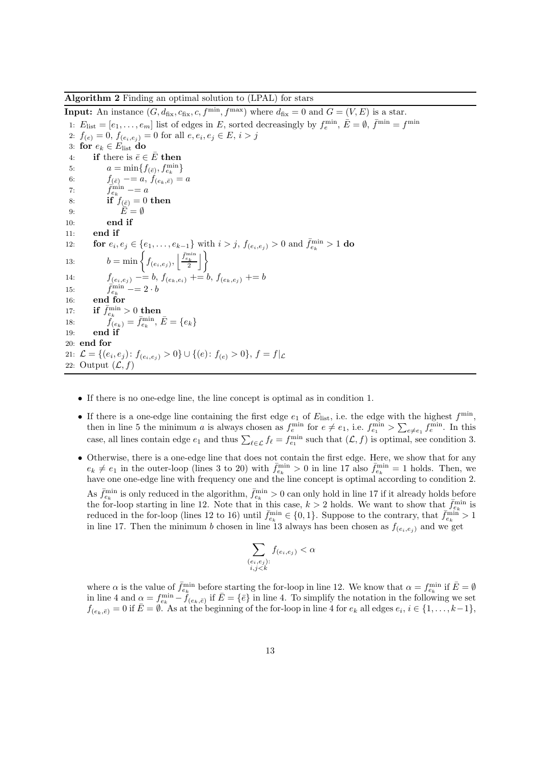<span id="page-13-0"></span>Algorithm 2 Finding an optimal solution to (LPAL) for stars

**Input:** An instance  $(G, d_{\text{fix}}, c_{\text{fix}}, c, f^{\text{min}}, f^{\text{max}})$  where  $d_{\text{fix}} = 0$  and  $G = (V, E)$  is a star. 1:  $E_{\text{list}} = [e_1, \ldots, e_m]$  list of edges in E, sorted decreasingly by  $f_e^{\min}$ ,  $\bar{E} = \emptyset$ ,  $\bar{f}^{\min} = f^{\min}$ 2:  $f_{(e)} = 0, f_{(e_i, e_j)} = 0$  for all  $e, e_i, e_j \in E, i > j$ 3: for  $e_k \in E$ <sub>list</sub> do 4: if there is  $\bar{e} \in \bar{E}$  then 5:  $a = \min\{f_{(\bar{e})}, f_{e_k}^{\min}\}\$ 6:  $f_{(\bar{e})} = a, f_{(e_k, \bar{e})} = a$ 7:  $\overrightarrow{f}_{e_k}^{\min}$   $\overrightarrow{=}$  a 8: if  $f_{(\bar{e})} = 0$  then 9:  $\overline{E} = \emptyset$ 10: end if 11: end if 12: **for**  $e_i, e_j \in \{e_1, \ldots, e_{k-1}\}\$  with  $i > j$ ,  $f_{(e_i, e_j)} > 0$  and  $\bar{f}_{e_k}^{\min} > 1$  **do** 13:  $b = \min \left\{ f_{(e_i, e_j)}, \left| \frac{\bar{f}_{e_k}}{2} \right| \right\}$ 14:  $f_{(e_i,e_j)} = b, f_{(e_k,e_i)} \to b, f_{(e_k,e_j)} \to b$ 15:  $\bar{f}_{e_k}^{\min} = 2 \cdot b$ 16: end for 17: if  $\bar{f}_{e_k}^{\min} > 0$  then 18:  $f_{(e_k)} = \bar{f}_{e_k}^{\min}, \, \bar{E} = \{e_k\}$ 19: end if 20: end for 21:  $\mathcal{L} = \{(e_i, e_j): f_{(e_i, e_j)} > 0\} \cup \{(e): f_{(e)} > 0\}, f = f | \mathcal{L}$ 22: Output  $(\mathcal{L}, f)$ 

- If there is no one-edge line, the line concept is optimal as in condition 1.
- If there is a one-edge line containing the first edge  $e_1$  of  $E_{\text{list}}$ , i.e. the edge with the highest  $f^{\min}$ , then in line 5 the minimum *a* is always chosen as  $f_e^{\min}$  for  $e \neq e_1$ , i.e.  $f_{e_1}^{\min} > \sum_{e \neq e_1} f_e^{\min}$ . In this case, all lines contain edge  $e_1$  and thus  $\sum_{\ell \in \mathcal{L}} f_{\ell} = f_{e_1}^{\min}$  such that  $(\mathcal{L}, f)$  is optimal, see condition 3.
- Otherwise, there is a one-edge line that does not contain the first edge. Here, we show that for any  $e_k \neq e_1$  in the outer-loop (lines 3 to 20) with  $\bar{f}_{e_k}^{\min} > 0$  in line 17 also  $\bar{f}_{e_k}^{\min} = 1$  holds. Then, we have one one-edge line with frequency one and the line concept is optimal according to condition 2. As  $\bar{f}_{e_k}^{\min}$  is only reduced in the algorithm,  $\bar{f}_{e_k}^{\min} > 0$  can only hold in line 17 if it already holds before the for-loop starting in line 12. Note that in this case,  $k > 2$  holds. We want to show that  $\bar{f}_{e_k}^{\min}$  is reduced in the for-loop (lines 12 to 16) until  $\bar{f}_{e_k}^{\min} \in \{0,1\}$ . Suppose to the contrary, that  $\bar{f}_{e_k}^{\min} > 1$ in line 17. Then the minimum b chosen in line 13 always has been chosen as  $f_{(e_i,e_i)}$  and we get

$$
\sum_{\substack{(e_i, e_j):\\i, j < k}} f_{(e_i, e_j)} < \alpha
$$

where  $\alpha$  is the value of  $\bar{f}_{e_k}^{\min}$  before starting the for-loop in line 12. We know that  $\alpha = f_{e_k}^{\min}$  if  $\bar{E} = \emptyset$ in line 4 and  $\alpha = f_{e_k}^{\min} - f_{(e_k, \bar{e})}$  if  $\bar{E} = \{\bar{e}\}\$ in line 4. To simplify the notation in the following we set  $f_{(e_k,\bar{e})}=0$  if  $\bar{E}=\emptyset$ . As at the beginning of the for-loop in line 4 for  $e_k$  all edges  $e_i, i \in \{1,\ldots,k-1\},$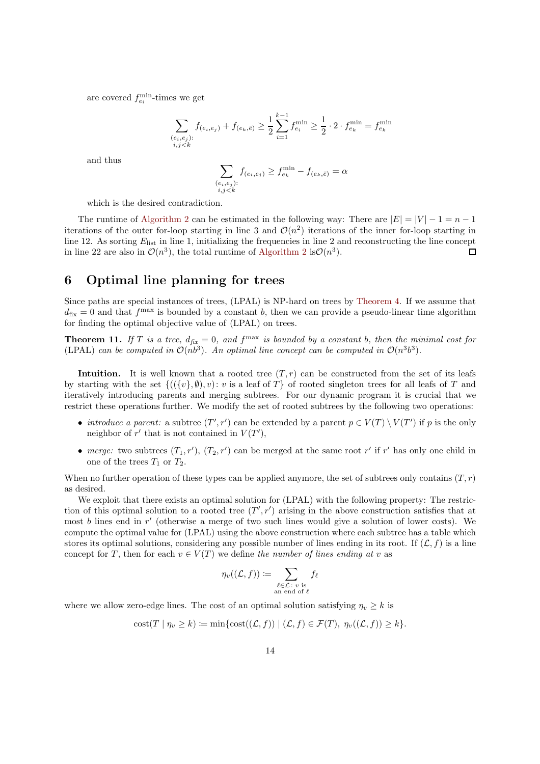are covered  $f_{e_i}^{\min}$ -times we get

$$
\sum_{\substack{(e_i, e_j):\\i,j < k}} f_{(e_i, e_j)} + f_{(e_k, \bar{e})} \ge \frac{1}{2} \sum_{i=1}^{k-1} f_{e_i}^{\min} \ge \frac{1}{2} \cdot 2 \cdot f_{e_k}^{\min} = f_{e_k}^{\min}
$$

and thus

$$
\sum_{\substack{(e_i,e_j):\\i,j
$$

which is the desired contradiction.

The runtime of [Algorithm 2](#page-13-0) can be estimated in the following way: There are  $|E| = |V| - 1 = n - 1$ iterations of the outer for-loop starting in line 3 and  $\mathcal{O}(n^2)$  iterations of the inner for-loop starting in line 12. As sorting  $E_{\text{list}}$  in line 1, initializing the frequencies in line 2 and reconstructing the line concept in line 22 are also in  $\mathcal{O}(n^3)$ , the total runtime of [Algorithm 2](#page-13-0) is  $\mathcal{O}(n^3)$ .  $\Box$ 

### <span id="page-14-0"></span>6 Optimal line planning for trees

Since paths are special instances of trees, (LPAL) is NP-hard on trees by [Theorem 4.](#page-4-0) If we assume that  $d_{\text{fix}} = 0$  and that  $f^{\text{max}}$  is bounded by a constant b, then we can provide a pseudo-linear time algorithm for finding the optimal objective value of (LPAL) on trees.

<span id="page-14-1"></span>**Theorem 11.** If T is a tree,  $d_{\text{fix}} = 0$ , and  $f^{\text{max}}$  is bounded by a constant b, then the minimal cost for (LPAL) can be computed in  $\mathcal{O}(nb^3)$ . An optimal line concept can be computed in  $\mathcal{O}(n^3b^3)$ .

Intuition. It is well known that a rooted tree  $(T, r)$  can be constructed from the set of its leafs by starting with the set  $\{((\{v\}, \emptyset), v): v \text{ is a leaf of } T\}$  of rooted singleton trees for all leafs of T and iteratively introducing parents and merging subtrees. For our dynamic program it is crucial that we restrict these operations further. We modify the set of rooted subtrees by the following two operations:

- *introduce a parent:* a subtree  $(T', r')$  can be extended by a parent  $p \in V(T) \setminus V(T')$  if p is the only neighbor of  $r'$  that is not contained in  $V(T')$ ,
- *merge:* two subtrees  $(T_1, r')$ ,  $(T_2, r')$  can be merged at the same root r' if r' has only one child in one of the trees  $T_1$  or  $T_2$ .

When no further operation of these types can be applied anymore, the set of subtrees only contains  $(T, r)$ as desired.

We exploit that there exists an optimal solution for  $(LPAL)$  with the following property: The restriction of this optimal solution to a rooted tree  $(T', r')$  arising in the above construction satisfies that at most b lines end in r' (otherwise a merge of two such lines would give a solution of lower costs). We compute the optimal value for (LPAL) using the above construction where each subtree has a table which stores its optimal solutions, considering any possible number of lines ending in its root. If  $(\mathcal{L}, f)$  is a line concept for T, then for each  $v \in V(T)$  we define *the number of lines ending at* v as

$$
\eta_v((\mathcal{L}, f)) := \sum_{\substack{\ell \in \mathcal{L} \colon v \text{ is} \\ \text{an end of } \ell}} f_{\ell}
$$

where we allow zero-edge lines. The cost of an optimal solution satisfying  $\eta_v \geq k$  is

$$
cost(T | \eta_v \ge k) \coloneqq \min\{cost((\mathcal{L}, f)) | (\mathcal{L}, f) \in \mathcal{F}(T), \eta_v((\mathcal{L}, f)) \ge k\}.
$$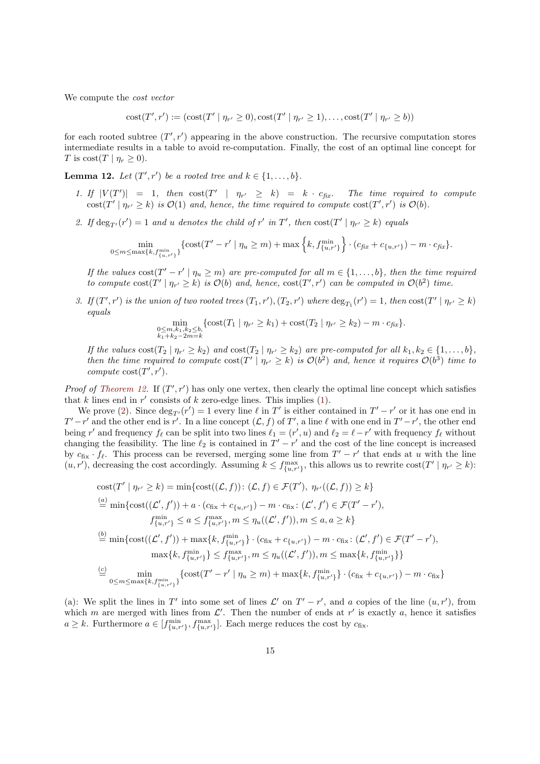We compute the *cost vector*

 $\text{cost}(T', r') := (\text{cost}(T' | \eta_{r'} \ge 0), \text{cost}(T' | \eta_{r'} \ge 1), \dots, \text{cost}(T' | \eta_{r'} \ge b))$ 

for each rooted subtree  $(T', r')$  appearing in the above construction. The recursive computation stores intermediate results in a table to avoid re-computation. Finally, the cost of an optimal line concept for T is  $\text{cost}(T \mid \eta_r \geq 0)$ .

<span id="page-15-1"></span><span id="page-15-0"></span>**Lemma 12.** Let  $(T', r')$  be a rooted tree and  $k \in \{1, \ldots, b\}$ .

- 1. If  $|V(T')| = 1$ , then  $\text{cost}(T' | \eta_r)$ The time required to compute  $\text{cost}(T' | \eta_{r'} \geq k)$  *is*  $\mathcal{O}(1)$  *and, hence, the time required to compute*  $\text{cost}(T', r')$  *is*  $\mathcal{O}(b)$ *.*
- <span id="page-15-2"></span>2. If  $\deg_{T'}(r') = 1$  *and* u *denotes the child of* r' *in* T', *then*  $\cos\left(T' \mid \eta_{r'} \ge k\right)$  *equals*

$$
\min_{0 \le m \le \max\{k, f_{\{u, r'\}}^{\min}\}} \{ \text{cost}(T' - r' \mid \eta_u \ge m) + \max\left\{k, f_{\{u, r'\}}^{\min}\right\} \cdot (c_{\text{fix}} + c_{\{u, r'\}}) - m \cdot c_{\text{fix}}\}.
$$

*If the values*  $\text{cost}(T' - r' \mid \eta_u \geq m)$  *are pre-computed for all*  $m \in \{1, ..., b\}$ *, then the time required to compute*  $cost(T' | \eta_{r'} \ge k)$  *is*  $\mathcal{O}(b)$  *and, hence,*  $cost(T', r')$  *can be computed in*  $\mathcal{O}(b^2)$  *time.* 

<span id="page-15-3"></span>*3.* If  $(T', r')$  is the union of two rooted trees  $(T_1, r'), (T_2, r')$  where  $\deg_{T_1}(r') = 1$ , then  $\cos(T' | \eta_{r'} \ge k)$ *equals*

$$
\min_{\substack{0 \le m, k_1, k_2 \le b, \\ k_1 + k_2 - 2m = k}} \{ \text{cost}(T_1 \mid \eta_{r'} \ge k_1) + \text{cost}(T_2 \mid \eta_{r'} \ge k_2) - m \cdot c_{\text{fix}} \}.
$$

*If the values*  $\text{cost}(T_2 \mid \eta_{r'} \ge k_2)$  *and*  $\text{cost}(T_2 \mid \eta_{r'} \ge k_2)$  *are pre-computed for all*  $k_1, k_2 \in \{1, \ldots, b\}$ *, then the time required to compute*  $\cos(T' | \eta_{r'} \ge k)$  *is*  $\mathcal{O}(b^2)$  *and, hence it requires*  $\mathcal{O}(b^3)$  *time to compute*  $cost(T', r')$ *.* 

*Proof of [Theorem 12.](#page-15-0)* If  $(T', r')$  has only one vertex, then clearly the optimal line concept which satisfies that k lines end in  $r'$  consists of k zero-edge lines. This implies  $(1)$ .

We prove [\(2\)](#page-15-2). Since  $\deg_{T'}(r') = 1$  every line  $\ell$  in  $T'$  is either contained in  $T' - r'$  or it has one end in  $T'-r'$  and the other end is r'. In a line concept  $(\mathcal{L}, f)$  of T', a line  $\ell$  with one end in  $T'-r'$ , the other end being r' and frequency  $f_{\ell}$  can be split into two lines  $\ell_1 = (r', u)$  and  $\ell_2 = \ell - r'$  with frequency  $f_{\ell}$  without changing the feasibility. The line  $\ell_2$  is contained in  $T' - r'$  and the cost of the line concept is increased by  $c_{fix} \cdot f_\ell$ . This process can be reversed, merging some line from  $T' - r'$  that ends at u with the line  $(u, r')$ , decreasing the cost accordingly. Assuming  $k \leq f_{\{u, r'\}}^{\max}$ , this allows us to rewrite  $\text{cost}(T' | \eta_{r'} \geq k)$ :

cost
$$
(T' | \eta_{r'} \ge k)
$$
 = min $\{\text{cost}((\mathcal{L}, f)) : (\mathcal{L}, f) \in \mathcal{F}(T'), \eta_{r'}((\mathcal{L}, f)) \ge k\}$   
\n $\stackrel{(a)}{=} \min\{\text{cost}((\mathcal{L}', f')) + a \cdot (c_{fix} + c_{\{u,r'\}}) - m \cdot c_{fix} : (\mathcal{L}', f') \in \mathcal{F}(T' - r'),$   
\n $f_{\{u,r'\}}^{\min} \le a \le f_{\{u,r'\}}, m \le \eta_u((\mathcal{L}', f')), m \le a, a \ge k\}$   
\n $\stackrel{(b)}{=} \min\{\text{cost}((\mathcal{L}', f')) + \max\{k, f_{\{u,r'\}}^{\min}\} \cdot (c_{fix} + c_{\{u,r'\}}) - m \cdot c_{fix} : (\mathcal{L}', f') \in \mathcal{F}(T' - r'),$   
\n $\max\{k, f_{\{u,r'\}}^{\min}\} \le f_{\{u,r'\}}^{\max}, m \le \eta_u((\mathcal{L}', f')), m \le \max\{k, f_{\{u,r'\}}^{\min}\}\}$   
\n $\stackrel{(c)}{=} \min\{\text{cost}(T' - r' | n > m) + \max\{k, f_{\{u,v'\}}^{\min}\} \cdot (c_{fix} + c_{fix} - a) - m \cdot c_{fix}\}$ 

$$
\stackrel{(c)}{=} \min_{0 \le m \le \max\{k, f_{\{u,r'\}}^{\min}\}} \{ \text{cost}(T' - r' \mid \eta_u \ge m) + \max\{k, f_{\{u,r'\}}^{\min}\} \cdot (c_{\text{fix}} + c_{\{u,r'\}}) - m \cdot c_{\text{fix}} \}
$$

(a): We split the lines in T' into some set of lines  $\mathcal{L}'$  on  $T' - r'$ , and a copies of the line  $(u, r')$ , from which m are merged with lines from  $\mathcal{L}'$ . Then the number of ends at r' is exactly a, hence it satisfies  $a \geq k$ . Furthermore  $a \in [f_{\{u,r'\}}^{\text{min}}, f_{\{u,r'\}}^{\text{max}}]$ . Each merge reduces the cost by  $c_{\text{fix}}$ .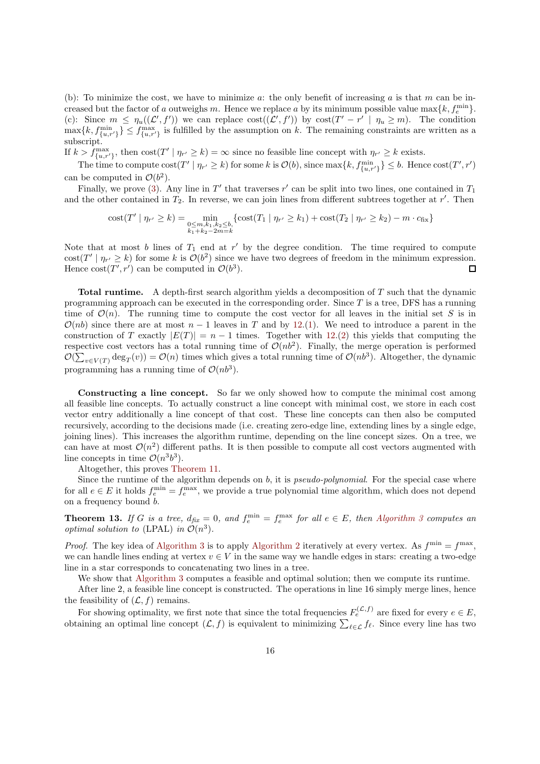(b): To minimize the cost, we have to minimize  $a$ : the only benefit of increasing  $a$  is that  $m$  can be increased but the factor of a outweighs m. Hence we replace a by its minimum possible value  $\max\{k, f_e^{\min}\}.$ (c): Since  $m \leq \eta_u((\mathcal{L}', f'))$  we can replace  $\text{cost}((\mathcal{L}', f'))$  by  $\text{cost}(T' - r' \mid \eta_u \geq m)$ . The condition  $\max\{k, f_{\{u,r'\}}^{\min}\}\leq f_{\{u,r'\}}^{\max}$  is fulfilled by the assumption on k. The remaining constraints are written as a subscript.

If  $k > f_{\{u,r'\}}^{\max}$ , then  $\text{cost}(T' | \eta_{r'} \geq k) = \infty$  since no feasible line concept with  $\eta_{r'} \geq k$  exists.

The time to compute  $\text{cost}(T' \mid \eta_{r'} \geq k)$  for some k is  $\mathcal{O}(b)$ , since  $\max\{k, f_{\{u,r'\}}^{\min}\} \leq b$ . Hence  $\text{cost}(T', r')$ can be computed in  $\mathcal{O}(b^2)$ .

Finally, we prove [\(3\)](#page-15-3). Any line in  $T'$  that traverses  $r'$  can be split into two lines, one contained in  $T_1$ and the other contained in  $T_2$ . In reverse, we can join lines from different subtrees together at  $r'$ . Then

cost
$$
(T' | \eta_{r'} \ge k)
$$
 =  $\min_{\substack{0 \le m, k_1, k_2 \le b, \\ k_1 + k_2 - 2m = k}} \{ \text{cost}(T_1 | \eta_{r'} \ge k_1) + \text{cost}(T_2 | \eta_{r'} \ge k_2) - m \cdot c_{\text{fix}} \}$ 

Note that at most  $b$  lines of  $T_1$  end at  $r'$  by the degree condition. The time required to compute  $\text{cost}(T' | \eta_{r'} \ge k)$  for some k is  $\mathcal{O}(b^2)$  since we have two degrees of freedom in the minimum expression. Hence  $\text{cost}(T', r')$  can be computed in  $\mathcal{O}(b^3)$ .  $\Box$ 

Total runtime. A depth-first search algorithm yields a decomposition of T such that the dynamic programming approach can be executed in the corresponding order. Since  $T$  is a tree, DFS has a running time of  $\mathcal{O}(n)$ . The running time to compute the cost vector for all leaves in the initial set S is in  $\mathcal{O}(nb)$  since there are at most  $n-1$  leaves in T and by [12.](#page-15-0)[\(1\)](#page-15-1). We need to introduce a parent in the construction of T exactly  $|E(T)| = n - 1$  times. Together with [12.](#page-15-0)[\(2\)](#page-15-2) this yields that computing the respective cost vectors has a total running time of  $\mathcal{O}(nb^2)$ . Finally, the merge operation is performed  $\mathcal{O}(\sum_{v \in V(T)} \deg_T(v)) = \mathcal{O}(n)$  times which gives a total running time of  $\mathcal{O}(nb^3)$ . Altogether, the dynamic programming has a running time of  $\mathcal{O}(nb^3)$ .

Constructing a line concept. So far we only showed how to compute the minimal cost among all feasible line concepts. To actually construct a line concept with minimal cost, we store in each cost vector entry additionally a line concept of that cost. These line concepts can then also be computed recursively, according to the decisions made (i.e. creating zero-edge line, extending lines by a single edge, joining lines). This increases the algorithm runtime, depending on the line concept sizes. On a tree, we can have at most  $\mathcal{O}(n^2)$  different paths. It is then possible to compute all cost vectors augmented with line concepts in time  $\mathcal{O}(n^3b^3)$ .

Altogether, this proves [Theorem 11.](#page-14-1)

Since the runtime of the algorithm depends on b, it is *pseudo-polynomial*. For the special case where for all  $e \in E$  it holds  $f_e^{\min} = f_e^{\max}$ , we provide a true polynomial time algorithm, which does not depend on a frequency bound b.

<span id="page-16-0"></span>**Theorem 13.** If G is a tree,  $d_{fix} = 0$ , and  $f_e^{\min} = f_e^{\max}$  for all  $e \in E$ , then [Algorithm 3](#page-17-0) computes an *optimal solution to* (LPAL) *in*  $\mathcal{O}(n^3)$ *.* 

*Proof.* The key idea of [Algorithm 3](#page-17-0) is to apply [Algorithm 2](#page-13-0) iteratively at every vertex. As  $f^{\min} = f^{\max}$ , we can handle lines ending at vertex  $v \in V$  in the same way we handle edges in stars: creating a two-edge line in a star corresponds to concatenating two lines in a tree.

We show that [Algorithm 3](#page-17-0) computes a feasible and optimal solution; then we compute its runtime.

After line 2, a feasible line concept is constructed. The operations in line 16 simply merge lines, hence the feasibility of  $(\mathcal{L}, f)$  remains.

For showing optimality, we first note that since the total frequencies  $F_e^{(\mathcal{L},f)}$  are fixed for every  $e \in E$ , obtaining an optimal line concept  $(L, f)$  is equivalent to minimizing  $\sum_{\ell \in \mathcal{L}} f_{\ell}$ . Since every line has two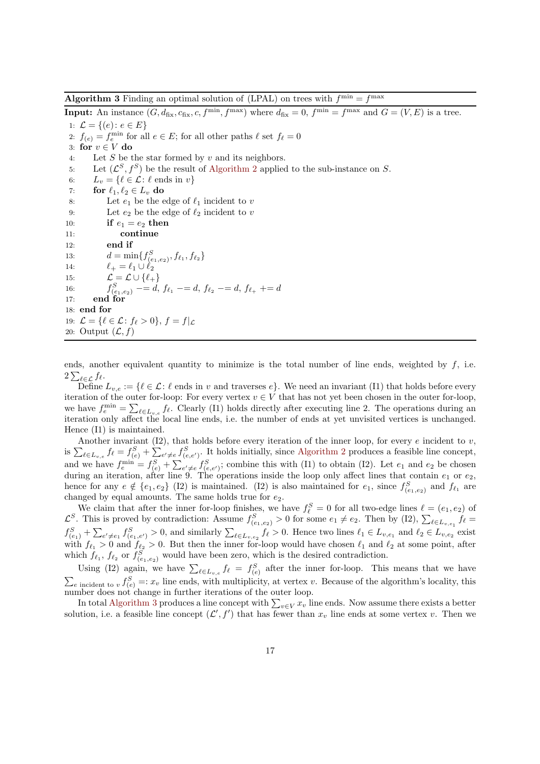<span id="page-17-0"></span>**Algorithm 3** Finding an optimal solution of (LPAL) on trees with  $f^{\min} = f^{\max}$ 

**Input:** An instance  $(G, d_{\text{fix}}, c_{\text{fix}}, c, f^{\text{min}}, f^{\text{max}})$  where  $d_{\text{fix}} = 0$ ,  $f^{\text{min}} = f^{\text{max}}$  and  $G = (V, E)$  is a tree. 1:  $\mathcal{L} = \{(e): e \in E\}$ 

2:  $f_{(e)} = f_e^{\min}$  for all  $e \in E$ ; for all other paths  $\ell$  set  $f_{\ell} = 0$ 3: for  $v \in V$  do 4: Let S be the star formed by v and its neighbors. 5: Let  $(\mathcal{L}^S, f^S)$  be the result of [Algorithm 2](#page-13-0) applied to the sub-instance on S. 6:  $L_v = \{ \ell \in \mathcal{L} : \ell \text{ ends in } v \}$ 7: for  $\ell_1, \ell_2 \in L_v$  do 8: Let  $e_1$  be the edge of  $\ell_1$  incident to v 9: Let  $e_2$  be the edge of  $\ell_2$  incident to v 10: if  $e_1 = e_2$  then 11: continue 12: end if 13:  $d = \min\{f_{(e_1,e_2)}^S, f_{\ell_1}, f_{\ell_2}\}\$ 14:  $\ell_+ = \ell_1 \cup \ell_2$ 15:  $\mathcal{L} = \mathcal{L} \cup \{ \ell_+ \}$ 16:  $f_{(e_1,e_2)}^S$  -= d,  $f_{\ell_1}$  -= d,  $f_{\ell_2}$  -= d,  $f_{\ell_+}$  += d 17: end for 18: end for 19:  $\mathcal{L} = \{ \ell \in \mathcal{L} : f_{\ell} > 0 \}, f = f|_{\mathcal{L}}$ 20: Output  $(\mathcal{L}, f)$ 

ends, another equivalent quantity to minimize is the total number of line ends, weighted by  $f$ , i.e.  $2\sum_{\ell\in\mathcal{L}}f_{\ell}.$ 

Define  $L_{v,e} := \{ \ell \in \mathcal{L} : \ell \text{ ends in } v \text{ and traverses } e \}.$  We need an invariant (I1) that holds before every iteration of the outer for-loop: For every vertex  $v \in V$  that has not yet been chosen in the outer for-loop, we have  $f_e^{\min} = \sum_{\ell \in L_{v,e}} f_{\ell}$ . Clearly (I1) holds directly after executing line 2. The operations during an iteration only affect the local line ends, i.e. the number of ends at yet unvisited vertices is unchanged. Hence (I1) is maintained.

Another invariant  $(12)$ , that holds before every iteration of the inner loop, for every e incident to v, is  $\sum_{\ell \in L_{v,e}} f_{\ell} = f_{(e)}^S + \sum_{e' \neq e} f_{(e,e')}^S$ . It holds initially, since [Algorithm 2](#page-13-0) produces a feasible line concept, and we have  $f_e^{\min} = f_{(e)}^S + \sum_{e' \neq e} f_{(e,e')}^S$ ; combine this with (I1) to obtain (I2). Let  $e_1$  and  $e_2$  be chosen during an iteration, after line 9. The operations inside the loop only affect lines that contain  $e_1$  or  $e_2$ , hence for any  $e \notin \{e_1, e_2\}$  (I2) is maintained. (I2) is also maintained for  $e_1$ , since  $f_{(e_1,e_2)}^S$  and  $f_{\ell_1}$  are changed by equal amounts. The same holds true for  $e_2$ .

We claim that after the inner for-loop finishes, we have  $f_{\ell}^{S} = 0$  for all two-edge lines  $\ell = (e_1, e_2)$  of  $\mathcal{L}^S$ . This is proved by contradiction: Assume  $f_{(e_1,e_2)}^S > 0$  for some  $e_1 \neq e_2$ . Then by (I2),  $\sum_{\ell \in L_{v,e_1}} f_{\ell} =$  $f_{(e_1)}^S + \sum_{e' \neq e_1} f_{(e_1,e')}^S > 0$ , and similarly  $\sum_{\ell \in L_{v,e_2}} f_{\ell} > 0$ . Hence two lines  $\ell_1 \in L_{v,e_1}$  and  $\ell_2 \in L_{v,e_2}$  exist with  $f_{\ell_1} > 0$  and  $f_{\ell_2} > 0$ . But then the inner for-loop would have chosen  $\ell_1$  and  $\ell_2$  at some point, after which  $f_{\ell_1}, f_{\ell_2}$  or  $f_{(e_1,e_2)}^S$  would have been zero, which is the desired contradiction.

Using (I2) again, we have  $\sum_{\ell \in L_{v,e}} f_{\ell} = f_{(e)}^S$  after the inner for-loop. This means that we have  $\sum_{e \text{ incident to } v} f_{(e)}^S =: x_v$  line ends, with multiplicity, at vertex v. Because of the algorithm's locality, this number does not change in further iterations of the outer loop.

In total [Algorithm 3](#page-17-0) produces a line concept with  $\sum_{v \in V} x_v$  line ends. Now assume there exists a better solution, i.e. a feasible line concept  $(\mathcal{L}', f')$  that has fewer than  $x_v$  line ends at some vertex v. Then we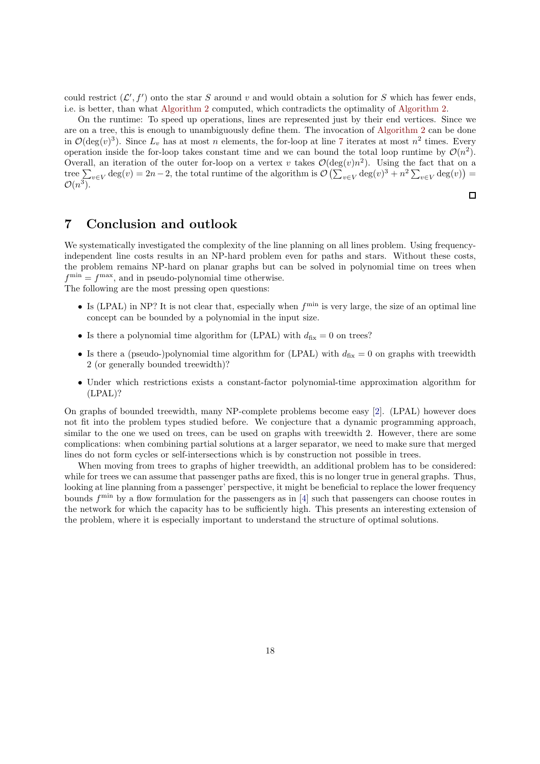could restrict  $(\mathcal{L}', f')$  onto the star S around v and would obtain a solution for S which has fewer ends, i.e. is better, than what [Algorithm 2](#page-13-0) computed, which contradicts the optimality of [Algorithm 2.](#page-13-0)

On the runtime: To speed up operations, lines are represented just by their end vertices. Since we are on a tree, this is enough to unambiguously define them. The invocation of [Algorithm 2](#page-13-0) can be done in  $\mathcal{O}(\deg(v)^3)$ . Since  $L_v$  has at most n elements, the for-loop at line [7](#page-17-0) iterates at most  $n^2$  times. Every operation inside the for-loop takes constant time and we can bound the total loop runtime by  $\mathcal{O}(n^2)$ . Overall, an iteration of the outer for-loop on a vertex v takes  $\mathcal{O}(\deg(v)n^2)$ . Using the fact that on a tree  $\sum_{v\in V} \deg(v) = 2n-2$ , the total runtime of the algorithm is  $\mathcal{O}\left(\sum_{v\in V} \deg(v)^3 + n^2 \sum_{v\in V} \deg(v)\right) =$  $\mathcal{O}(n^3)$ .

 $\Box$ 

# 7 Conclusion and outlook

We systematically investigated the complexity of the line planning on all lines problem. Using frequencyindependent line costs results in an NP-hard problem even for paths and stars. Without these costs, the problem remains NP-hard on planar graphs but can be solved in polynomial time on trees when  $f^{\min} = f^{\max}$ , and in pseudo-polynomial time otherwise.

The following are the most pressing open questions:

- $\bullet$  Is (LPAL) in NP? It is not clear that, especially when  $f^{\min}$  is very large, the size of an optimal line concept can be bounded by a polynomial in the input size.
- Is there a polynomial time algorithm for (LPAL) with  $d_{fix} = 0$  on trees?
- Is there a (pseudo-)polynomial time algorithm for (LPAL) with  $d_{fix} = 0$  on graphs with treewidth 2 (or generally bounded treewidth)?
- Under which restrictions exists a constant-factor polynomial-time approximation algorithm for (LPAL)?

On graphs of bounded treewidth, many NP-complete problems become easy [2]. (LPAL) however does not fit into the problem types studied before. We conjecture that a dynamic programming approach, similar to the one we used on trees, can be used on graphs with treewidth 2. However, there are some complications: when combining partial solutions at a larger separator, we need to make sure that merged lines do not form cycles or self-intersections which is by construction not possible in trees.

When moving from trees to graphs of higher treewidth, an additional problem has to be considered: while for trees we can assume that passenger paths are fixed, this is no longer true in general graphs. Thus, looking at line planning from a passenger' perspective, it might be beneficial to replace the lower frequency bounds  $f^{\min}$  by a flow formulation for the passengers as in [\[4\]](#page-19-10) such that passengers can choose routes in the network for which the capacity has to be sufficiently high. This presents an interesting extension of the problem, where it is especially important to understand the structure of optimal solutions.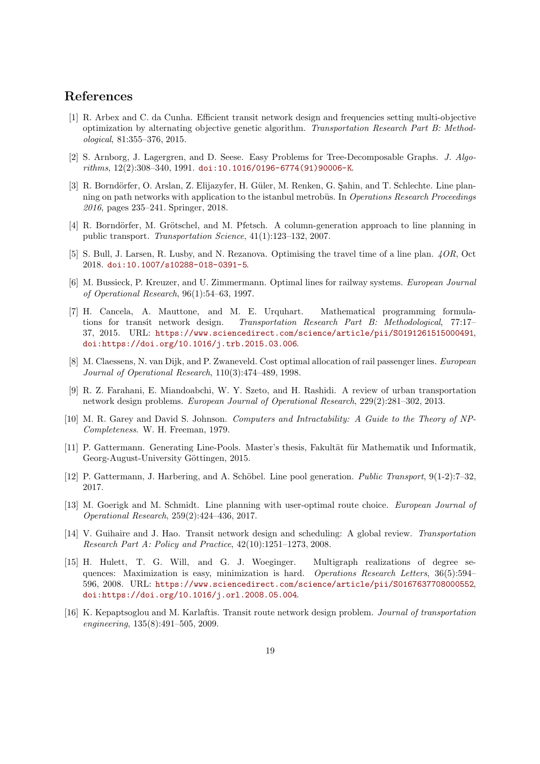### <span id="page-19-3"></span>References

- [1] R. Arbex and C. da Cunha. Efficient transit network design and frequencies setting multi-objective optimization by alternating objective genetic algorithm. *Transportation Research Part B: Methodological*, 81:355–376, 2015.
- [2] S. Arnborg, J. Lagergren, and D. Seese. Easy Problems for Tree-Decomposable Graphs. *J. Algorithms*, 12(2):308–340, 1991. [doi:10.1016/0196-6774\(91\)90006-K](https://doi.org/10.1016/0196-6774(91)90006-K).
- <span id="page-19-11"></span>[3] R. Borndörfer, O. Arslan, Z. Elijazyfer, H. Güler, M. Renken, G. Sahin, and T. Schlechte. Line planning on path networks with application to the istanbul metrobüs. In *Operations Research Proceedings 2016*, pages 235–241. Springer, 2018.
- <span id="page-19-10"></span>[4] R. Borndörfer, M. Grötschel, and M. Pfetsch. A column-generation approach to line planning in public transport. *Transportation Science*, 41(1):123–132, 2007.
- <span id="page-19-6"></span><span id="page-19-5"></span>[5] S. Bull, J. Larsen, R. Lusby, and N. Rezanova. Optimising the travel time of a line plan. *4OR*, Oct 2018. [doi:10.1007/s10288-018-0391-5](https://doi.org/10.1007/s10288-018-0391-5).
- [6] M. Bussieck, P. Kreuzer, and U. Zimmermann. Optimal lines for railway systems. *European Journal of Operational Research*, 96(1):54–63, 1997.
- <span id="page-19-4"></span>[7] H. Cancela, A. Mauttone, and M. E. Urquhart. Mathematical programming formulations for transit network design. *Transportation Research Part B: Methodological*, 77:17– 37, 2015. URL: <https://www.sciencedirect.com/science/article/pii/S0191261515000491>, [doi:https://doi.org/10.1016/j.trb.2015.03.006](https://doi.org/https://doi.org/10.1016/j.trb.2015.03.006).
- <span id="page-19-8"></span>[8] M. Claessens, N. van Dijk, and P. Zwaneveld. Cost optimal allocation of rail passenger lines. *European Journal of Operational Research*, 110(3):474–489, 1998.
- <span id="page-19-2"></span>[9] R. Z. Farahani, E. Miandoabchi, W. Y. Szeto, and H. Rashidi. A review of urban transportation network design problems. *European Journal of Operational Research*, 229(2):281–302, 2013.
- <span id="page-19-12"></span>[10] M. R. Garey and David S. Johnson. *Computers and Intractability: A Guide to the Theory of NP-Completeness*. W. H. Freeman, 1979.
- [11] P. Gattermann. Generating Line-Pools. Master's thesis, Fakultät für Mathematik und Informatik, Georg-August-University Göttingen, 2015.
- <span id="page-19-9"></span><span id="page-19-7"></span>[12] P. Gattermann, J. Harbering, and A. Sch¨obel. Line pool generation. *Public Transport*, 9(1-2):7–32, 2017.
- [13] M. Goerigk and M. Schmidt. Line planning with user-optimal route choice. *European Journal of Operational Research*, 259(2):424–436, 2017.
- <span id="page-19-0"></span>[14] V. Guihaire and J. Hao. Transit network design and scheduling: A global review. *Transportation Research Part A: Policy and Practice*, 42(10):1251–1273, 2008.
- <span id="page-19-13"></span>[15] H. Hulett, T. G. Will, and G. J. Woeginger. Multigraph realizations of degree sequences: Maximization is easy, minimization is hard. *Operations Research Letters*, 36(5):594– 596, 2008. URL: <https://www.sciencedirect.com/science/article/pii/S0167637708000552>, [doi:https://doi.org/10.1016/j.orl.2008.05.004](https://doi.org/https://doi.org/10.1016/j.orl.2008.05.004).
- <span id="page-19-1"></span>[16] K. Kepaptsoglou and M. Karlaftis. Transit route network design problem. *Journal of transportation engineering*, 135(8):491–505, 2009.